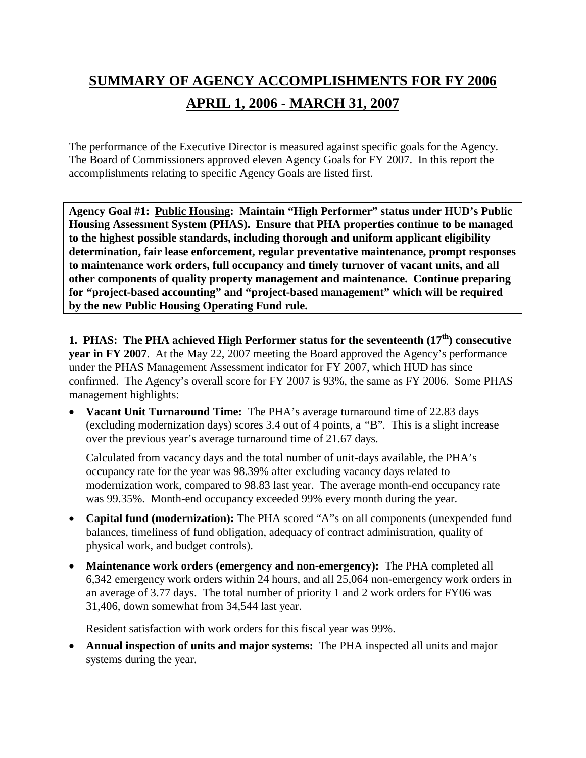# **SUMMARY OF AGENCY ACCOMPLISHMENTS FOR FY 2006 APRIL 1, 2006 - MARCH 31, 2007**

The performance of the Executive Director is measured against specific goals for the Agency. The Board of Commissioners approved eleven Agency Goals for FY 2007. In this report the accomplishments relating to specific Agency Goals are listed first.

**Agency Goal #1: Public Housing: Maintain "High Performer" status under HUD's Public Housing Assessment System (PHAS). Ensure that PHA properties continue to be managed to the highest possible standards, including thorough and uniform applicant eligibility determination, fair lease enforcement, regular preventative maintenance, prompt responses to maintenance work orders, full occupancy and timely turnover of vacant units, and all other components of quality property management and maintenance. Continue preparing for "project-based accounting" and "project-based management" which will be required by the new Public Housing Operating Fund rule.**

**1. PHAS: The PHA achieved High Performer status for the seventeenth (17th) consecutive year in FY 2007**. At the May 22, 2007 meeting the Board approved the Agency's performance under the PHAS Management Assessment indicator for FY 2007, which HUD has since confirmed. The Agency's overall score for FY 2007 is 93%, the same as FY 2006. Some PHAS management highlights:

• **Vacant Unit Turnaround Time:** The PHA's average turnaround time of 22.83 days (excluding modernization days) scores 3.4 out of 4 points, a *"*B"*.* This is a slight increase over the previous year's average turnaround time of 21.67 days.

Calculated from vacancy days and the total number of unit-days available, the PHA's occupancy rate for the year was 98.39% after excluding vacancy days related to modernization work, compared to 98.83 last year. The average month-end occupancy rate was 99.35%. Month-end occupancy exceeded 99% every month during the year.

- **Capital fund (modernization):** The PHA scored "A"s on all components (unexpended fund balances, timeliness of fund obligation, adequacy of contract administration, quality of physical work, and budget controls).
- **Maintenance work orders (emergency and non-emergency):** The PHA completed all 6,342 emergency work orders within 24 hours, and all 25,064 non-emergency work orders in an average of 3.77 days. The total number of priority 1 and 2 work orders for FY06 was 31,406, down somewhat from 34,544 last year.

Resident satisfaction with work orders for this fiscal year was 99%.

• **Annual inspection of units and major systems:** The PHA inspected all units and major systems during the year.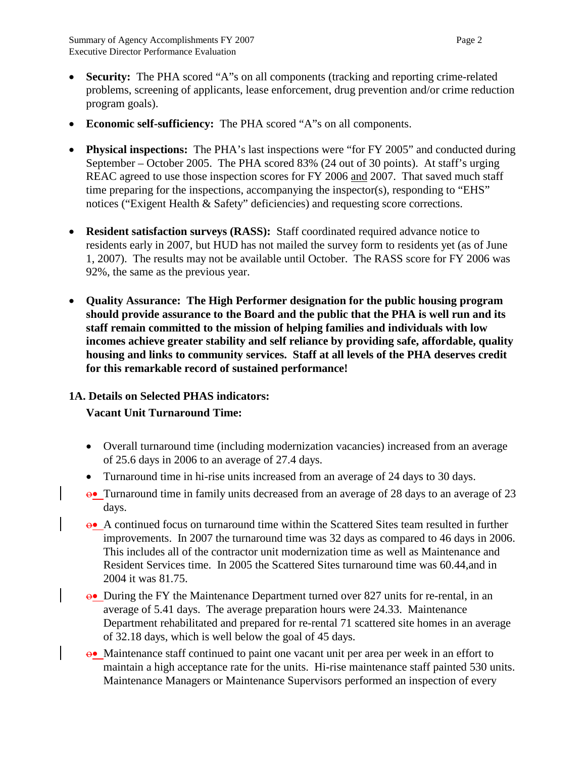- **Security:** The PHA scored "A"s on all components (tracking and reporting crime-related problems, screening of applicants, lease enforcement, drug prevention and/or crime reduction program goals).
- **Economic self-sufficiency:** The PHA scored "A"s on all components.
- **Physical inspections:** The PHA's last inspections were "for FY 2005" and conducted during September – October 2005. The PHA scored 83% (24 out of 30 points). At staff's urging REAC agreed to use those inspection scores for FY 2006 and 2007. That saved much staff time preparing for the inspections, accompanying the inspector(s), responding to "EHS" notices ("Exigent Health & Safety" deficiencies) and requesting score corrections.
- **Resident satisfaction surveys (RASS):** Staff coordinated required advance notice to residents early in 2007, but HUD has not mailed the survey form to residents yet (as of June 1, 2007). The results may not be available until October. The RASS score for FY 2006 was 92%, the same as the previous year.
- **Quality Assurance: The High Performer designation for the public housing program should provide assurance to the Board and the public that the PHA is well run and its staff remain committed to the mission of helping families and individuals with low incomes achieve greater stability and self reliance by providing safe, affordable, quality housing and links to community services. Staff at all levels of the PHA deserves credit for this remarkable record of sustained performance!**

# **1A. Details on Selected PHAS indicators:**

# **Vacant Unit Turnaround Time:**

- Overall turnaround time (including modernization vacancies) increased from an average of 25.6 days in 2006 to an average of 27.4 days.
- Turnaround time in hi-rise units increased from an average of 24 days to 30 days.
- ο• Turnaround time in family units decreased from an average of 28 days to an average of 23 days.
- ο• A continued focus on turnaround time within the Scattered Sites team resulted in further improvements. In 2007 the turnaround time was 32 days as compared to 46 days in 2006. This includes all of the contractor unit modernization time as well as Maintenance and Resident Services time. In 2005 the Scattered Sites turnaround time was 60.44,and in 2004 it was 81.75.
- $\theta$  During the FY the Maintenance Department turned over 827 units for re-rental, in an average of 5.41 days. The average preparation hours were 24.33. Maintenance Department rehabilitated and prepared for re-rental 71 scattered site homes in an average of 32.18 days, which is well below the goal of 45 days.
- ο• Maintenance staff continued to paint one vacant unit per area per week in an effort to maintain a high acceptance rate for the units. Hi-rise maintenance staff painted 530 units. Maintenance Managers or Maintenance Supervisors performed an inspection of every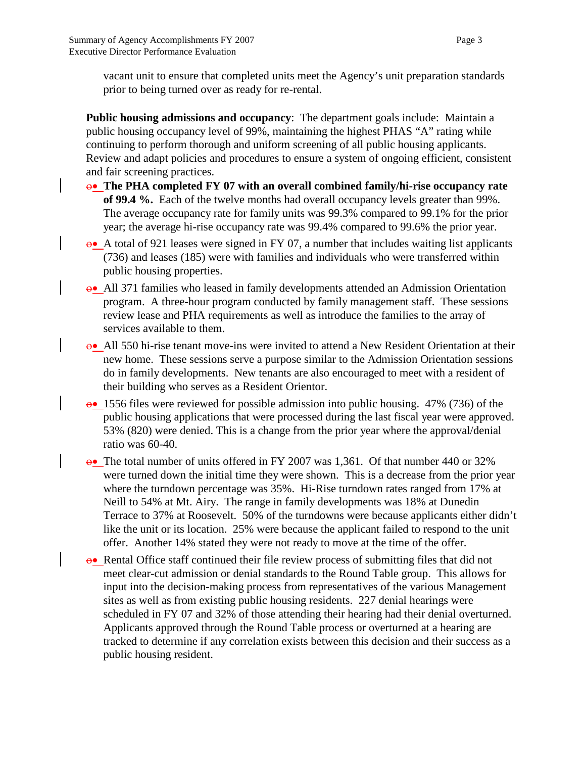vacant unit to ensure that completed units meet the Agency's unit preparation standards prior to being turned over as ready for re-rental.

**Public housing admissions and occupancy**: The department goals include: Maintain a public housing occupancy level of 99%, maintaining the highest PHAS "A" rating while continuing to perform thorough and uniform screening of all public housing applicants. Review and adapt policies and procedures to ensure a system of ongoing efficient, consistent and fair screening practices.

- ο• **The PHA completed FY 07 with an overall combined family/hi-rise occupancy rate of 99.4 %.** Each of the twelve months had overall occupancy levels greater than 99%. The average occupancy rate for family units was 99.3% compared to 99.1% for the prior year; the average hi-rise occupancy rate was 99.4% compared to 99.6% the prior year.
- ο• A total of 921 leases were signed in FY 07, a number that includes waiting list applicants (736) and leases (185) were with families and individuals who were transferred within public housing properties.
- ο• All 371 families who leased in family developments attended an Admission Orientation program. A three-hour program conducted by family management staff. These sessions review lease and PHA requirements as well as introduce the families to the array of services available to them.
- ο• All 550 hi-rise tenant move-ins were invited to attend a New Resident Orientation at their new home. These sessions serve a purpose similar to the Admission Orientation sessions do in family developments. New tenants are also encouraged to meet with a resident of their building who serves as a Resident Orientor.
- ο• 1556 files were reviewed for possible admission into public housing. 47% (736) of the public housing applications that were processed during the last fiscal year were approved. 53% (820) were denied. This is a change from the prior year where the approval/denial ratio was 60-40.
- ο• The total number of units offered in FY 2007 was 1,361. Of that number 440 or 32% were turned down the initial time they were shown. This is a decrease from the prior year where the turndown percentage was 35%. Hi-Rise turndown rates ranged from 17% at Neill to 54% at Mt. Airy. The range in family developments was 18% at Dunedin Terrace to 37% at Roosevelt. 50% of the turndowns were because applicants either didn't like the unit or its location. 25% were because the applicant failed to respond to the unit offer. Another 14% stated they were not ready to move at the time of the offer.
- ο• Rental Office staff continued their file review process of submitting files that did not meet clear-cut admission or denial standards to the Round Table group. This allows for input into the decision-making process from representatives of the various Management sites as well as from existing public housing residents. 227 denial hearings were scheduled in FY 07 and 32% of those attending their hearing had their denial overturned. Applicants approved through the Round Table process or overturned at a hearing are tracked to determine if any correlation exists between this decision and their success as a public housing resident.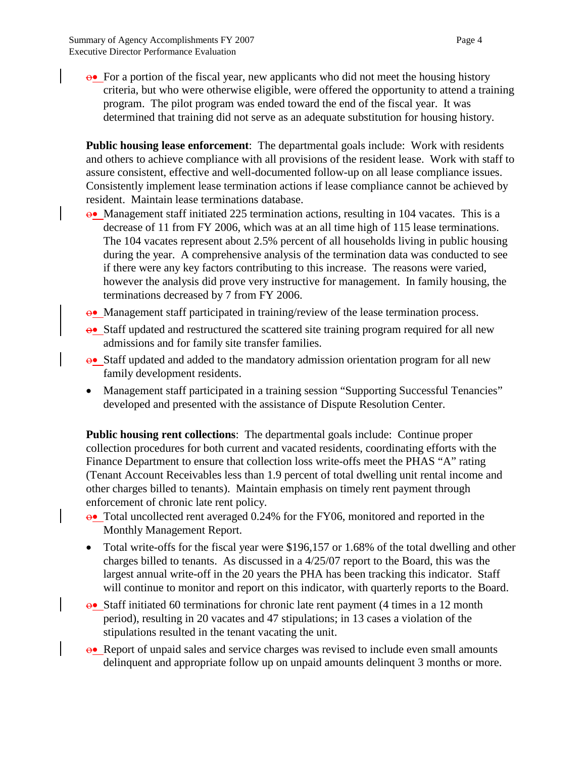$\theta$ • For a portion of the fiscal year, new applicants who did not meet the housing history criteria, but who were otherwise eligible, were offered the opportunity to attend a training program. The pilot program was ended toward the end of the fiscal year. It was determined that training did not serve as an adequate substitution for housing history.

**Public housing lease enforcement**: The departmental goals include: Work with residents and others to achieve compliance with all provisions of the resident lease. Work with staff to assure consistent, effective and well-documented follow-up on all lease compliance issues. Consistently implement lease termination actions if lease compliance cannot be achieved by resident. Maintain lease terminations database.

- ο• Management staff initiated 225 termination actions, resulting in 104 vacates. This is a decrease of 11 from FY 2006, which was at an all time high of 115 lease terminations. The 104 vacates represent about 2.5% percent of all households living in public housing during the year. A comprehensive analysis of the termination data was conducted to see if there were any key factors contributing to this increase. The reasons were varied, however the analysis did prove very instructive for management. In family housing, the terminations decreased by 7 from FY 2006.
- ο• Management staff participated in training/review of the lease termination process.
- ο• Staff updated and restructured the scattered site training program required for all new admissions and for family site transfer families.
- ο• Staff updated and added to the mandatory admission orientation program for all new family development residents.
- Management staff participated in a training session "Supporting Successful Tenancies" developed and presented with the assistance of Dispute Resolution Center.

**Public housing rent collections**: The departmental goals include: Continue proper collection procedures for both current and vacated residents, coordinating efforts with the Finance Department to ensure that collection loss write-offs meet the PHAS "A" rating (Tenant Account Receivables less than 1.9 percent of total dwelling unit rental income and other charges billed to tenants). Maintain emphasis on timely rent payment through enforcement of chronic late rent policy.

- ο• Total uncollected rent averaged 0.24% for the FY06, monitored and reported in the Monthly Management Report.
- Total write-offs for the fiscal year were \$196,157 or 1.68% of the total dwelling and other charges billed to tenants. As discussed in a 4/25/07 report to the Board, this was the largest annual write-off in the 20 years the PHA has been tracking this indicator. Staff will continue to monitor and report on this indicator, with quarterly reports to the Board.
- ο• Staff initiated 60 terminations for chronic late rent payment (4 times in a 12 month period), resulting in 20 vacates and 47 stipulations; in 13 cases a violation of the stipulations resulted in the tenant vacating the unit.
- ο• Report of unpaid sales and service charges was revised to include even small amounts delinquent and appropriate follow up on unpaid amounts delinquent 3 months or more.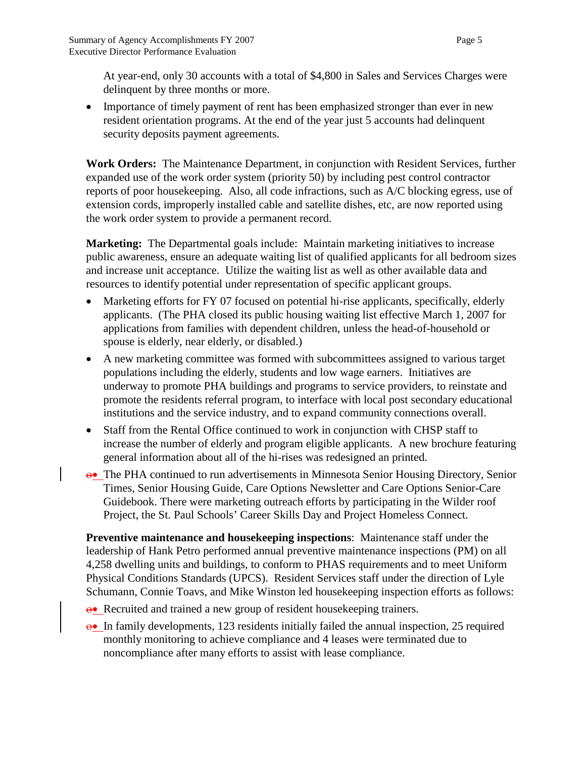At year-end, only 30 accounts with a total of \$4,800 in Sales and Services Charges were delinquent by three months or more.

• Importance of timely payment of rent has been emphasized stronger than ever in new resident orientation programs. At the end of the year just 5 accounts had delinquent security deposits payment agreements.

**Work Orders:** The Maintenance Department, in conjunction with Resident Services, further expanded use of the work order system (priority 50) by including pest control contractor reports of poor housekeeping. Also, all code infractions, such as A/C blocking egress, use of extension cords, improperly installed cable and satellite dishes, etc, are now reported using the work order system to provide a permanent record.

**Marketing:** The Departmental goals include: Maintain marketing initiatives to increase public awareness, ensure an adequate waiting list of qualified applicants for all bedroom sizes and increase unit acceptance. Utilize the waiting list as well as other available data and resources to identify potential under representation of specific applicant groups.

- Marketing efforts for FY 07 focused on potential hi-rise applicants, specifically, elderly applicants. (The PHA closed its public housing waiting list effective March 1, 2007 for applications from families with dependent children, unless the head-of-household or spouse is elderly, near elderly, or disabled.)
- A new marketing committee was formed with subcommittees assigned to various target populations including the elderly, students and low wage earners. Initiatives are underway to promote PHA buildings and programs to service providers, to reinstate and promote the residents referral program, to interface with local post secondary educational institutions and the service industry, and to expand community connections overall.
- Staff from the Rental Office continued to work in conjunction with CHSP staff to increase the number of elderly and program eligible applicants. A new brochure featuring general information about all of the hi-rises was redesigned an printed.
- ο• The PHA continued to run advertisements in Minnesota Senior Housing Directory, Senior Times, Senior Housing Guide, Care Options Newsletter and Care Options Senior-Care Guidebook. There were marketing outreach efforts by participating in the Wilder roof Project, the St. Paul Schools' Career Skills Day and Project Homeless Connect.

**Preventive maintenance and housekeeping inspections**: Maintenance staff under the leadership of Hank Petro performed annual preventive maintenance inspections (PM) on all 4,258 dwelling units and buildings, to conform to PHAS requirements and to meet Uniform Physical Conditions Standards (UPCS). Resident Services staff under the direction of Lyle Schumann, Connie Toavs, and Mike Winston led housekeeping inspection efforts as follows:

- ο• Recruited and trained a new group of resident housekeeping trainers.
- ο• In family developments, 123 residents initially failed the annual inspection, 25 required monthly monitoring to achieve compliance and 4 leases were terminated due to noncompliance after many efforts to assist with lease compliance.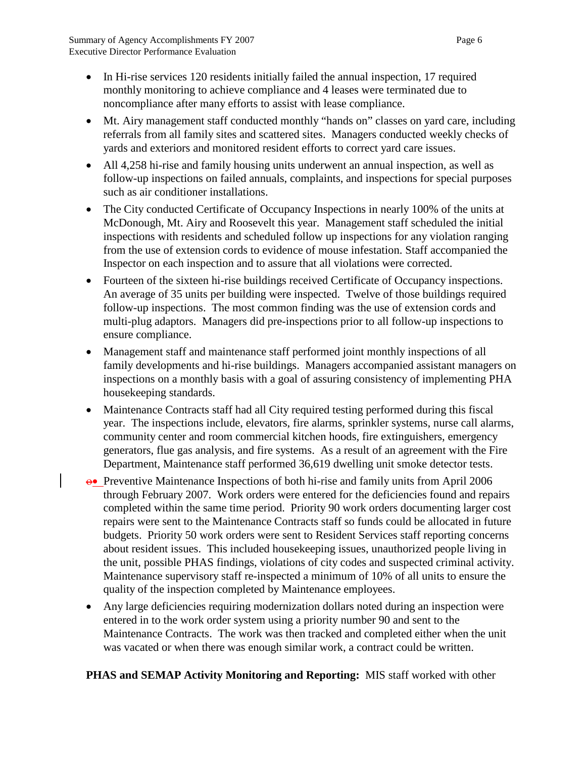- In Hi-rise services 120 residents initially failed the annual inspection, 17 required monthly monitoring to achieve compliance and 4 leases were terminated due to noncompliance after many efforts to assist with lease compliance.
- Mt. Airy management staff conducted monthly "hands on" classes on yard care, including referrals from all family sites and scattered sites. Managers conducted weekly checks of yards and exteriors and monitored resident efforts to correct yard care issues.
- All 4,258 hi-rise and family housing units underwent an annual inspection, as well as follow-up inspections on failed annuals, complaints, and inspections for special purposes such as air conditioner installations.
- The City conducted Certificate of Occupancy Inspections in nearly 100% of the units at McDonough, Mt. Airy and Roosevelt this year. Management staff scheduled the initial inspections with residents and scheduled follow up inspections for any violation ranging from the use of extension cords to evidence of mouse infestation. Staff accompanied the Inspector on each inspection and to assure that all violations were corrected.
- Fourteen of the sixteen hi-rise buildings received Certificate of Occupancy inspections. An average of 35 units per building were inspected. Twelve of those buildings required follow-up inspections. The most common finding was the use of extension cords and multi-plug adaptors. Managers did pre-inspections prior to all follow-up inspections to ensure compliance.
- Management staff and maintenance staff performed joint monthly inspections of all family developments and hi-rise buildings. Managers accompanied assistant managers on inspections on a monthly basis with a goal of assuring consistency of implementing PHA housekeeping standards.
- Maintenance Contracts staff had all City required testing performed during this fiscal year. The inspections include, elevators, fire alarms, sprinkler systems, nurse call alarms, community center and room commercial kitchen hoods, fire extinguishers, emergency generators, flue gas analysis, and fire systems. As a result of an agreement with the Fire Department, Maintenance staff performed 36,619 dwelling unit smoke detector tests.
- ο• Preventive Maintenance Inspections of both hi-rise and family units from April 2006 through February 2007. Work orders were entered for the deficiencies found and repairs completed within the same time period. Priority 90 work orders documenting larger cost repairs were sent to the Maintenance Contracts staff so funds could be allocated in future budgets. Priority 50 work orders were sent to Resident Services staff reporting concerns about resident issues. This included housekeeping issues, unauthorized people living in the unit, possible PHAS findings, violations of city codes and suspected criminal activity. Maintenance supervisory staff re-inspected a minimum of 10% of all units to ensure the quality of the inspection completed by Maintenance employees.
- Any large deficiencies requiring modernization dollars noted during an inspection were entered in to the work order system using a priority number 90 and sent to the Maintenance Contracts. The work was then tracked and completed either when the unit was vacated or when there was enough similar work, a contract could be written.

# **PHAS and SEMAP Activity Monitoring and Reporting:** MIS staff worked with other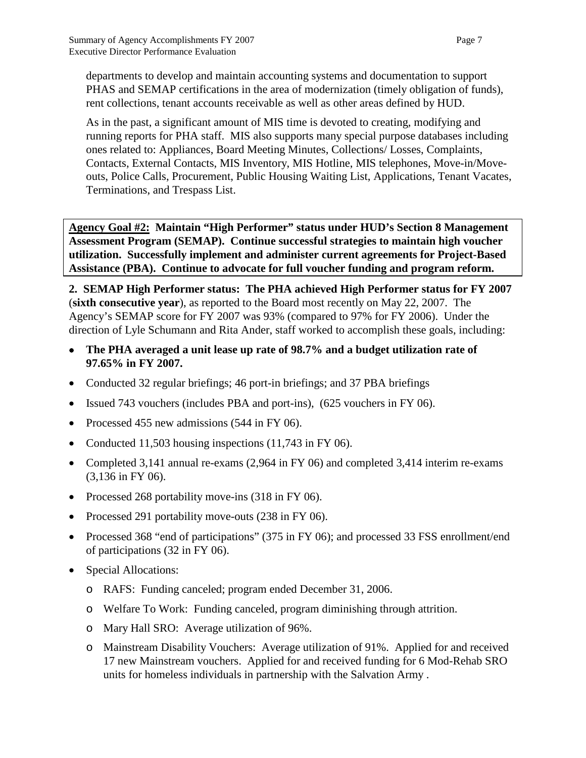departments to develop and maintain accounting systems and documentation to support PHAS and SEMAP certifications in the area of modernization (timely obligation of funds), rent collections, tenant accounts receivable as well as other areas defined by HUD.

As in the past, a significant amount of MIS time is devoted to creating, modifying and running reports for PHA staff. MIS also supports many special purpose databases including ones related to: Appliances, Board Meeting Minutes, Collections/ Losses, Complaints, Contacts, External Contacts, MIS Inventory, MIS Hotline, MIS telephones, Move-in/Moveouts, Police Calls, Procurement, Public Housing Waiting List, Applications, Tenant Vacates, Terminations, and Trespass List.

**Agency Goal #2: Maintain "High Performer" status under HUD's Section 8 Management Assessment Program (SEMAP). Continue successful strategies to maintain high voucher utilization. Successfully implement and administer current agreements for Project-Based Assistance (PBA). Continue to advocate for full voucher funding and program reform.**

**2. SEMAP High Performer status: The PHA achieved High Performer status for FY 2007**  (**sixth consecutive year**), as reported to the Board most recently on May 22, 2007. The Agency's SEMAP score for FY 2007 was 93% (compared to 97% for FY 2006). Under the direction of Lyle Schumann and Rita Ander, staff worked to accomplish these goals, including:

- **The PHA averaged a unit lease up rate of 98.7% and a budget utilization rate of 97.65% in FY 2007.**
- Conducted 32 regular briefings; 46 port-in briefings; and 37 PBA briefings
- Issued 743 vouchers (includes PBA and port-ins), (625 vouchers in FY 06).
- Processed 455 new admissions (544 in FY 06).
- Conducted 11,503 housing inspections (11,743 in FY 06).
- Completed 3,141 annual re-exams (2,964 in FY 06) and completed 3,414 interim re-exams (3,136 in FY 06).
- Processed 268 portability move-ins (318 in FY 06).
- Processed 291 portability move-outs (238 in FY 06).
- Processed 368 "end of participations" (375 in FY 06); and processed 33 FSS enrollment/end of participations (32 in FY 06).
- Special Allocations:
	- o RAFS: Funding canceled; program ended December 31, 2006.
	- o Welfare To Work: Funding canceled, program diminishing through attrition.
	- o Mary Hall SRO: Average utilization of 96%.
	- o Mainstream Disability Vouchers: Average utilization of 91%. Applied for and received 17 new Mainstream vouchers. Applied for and received funding for 6 Mod-Rehab SRO units for homeless individuals in partnership with the Salvation Army .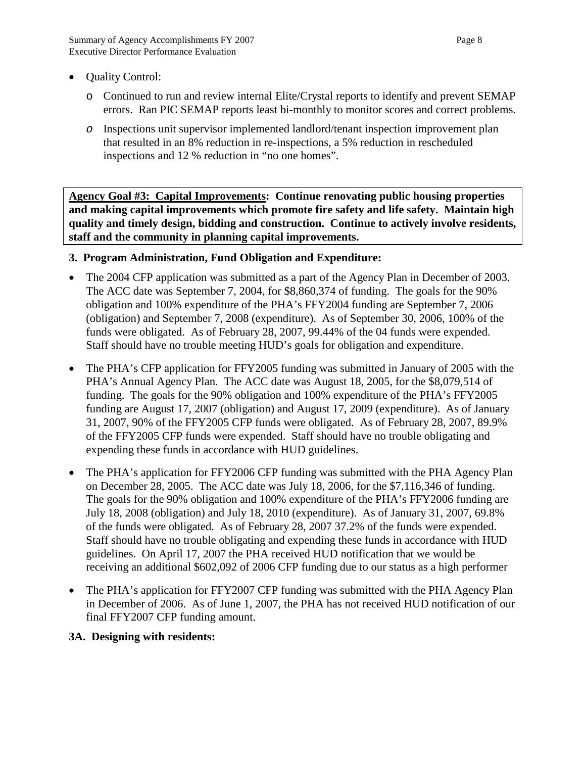- Quality Control:
	- o Continued to run and review internal Elite/Crystal reports to identify and prevent SEMAP errors. Ran PIC SEMAP reports least bi-monthly to monitor scores and correct problems.
	- *o* Inspections unit supervisor implemented landlord/tenant inspection improvement plan that resulted in an 8% reduction in re-inspections, a 5% reduction in rescheduled inspections and 12 % reduction in "no one homes".

**Agency Goal #3: Capital Improvements: Continue renovating public housing properties and making capital improvements which promote fire safety and life safety. Maintain high quality and timely design, bidding and construction. Continue to actively involve residents, staff and the community in planning capital improvements.**

#### **3. Program Administration, Fund Obligation and Expenditure:**

- The 2004 CFP application was submitted as a part of the Agency Plan in December of 2003. The ACC date was September 7, 2004, for \$8,860,374 of funding. The goals for the 90% obligation and 100% expenditure of the PHA's FFY2004 funding are September 7, 2006 (obligation) and September 7, 2008 (expenditure). As of September 30, 2006, 100% of the funds were obligated. As of February 28, 2007, 99.44% of the 04 funds were expended. Staff should have no trouble meeting HUD's goals for obligation and expenditure.
- The PHA's CFP application for FFY2005 funding was submitted in January of 2005 with the PHA's Annual Agency Plan. The ACC date was August 18, 2005, for the \$8,079,514 of funding. The goals for the 90% obligation and 100% expenditure of the PHA's FFY2005 funding are August 17, 2007 (obligation) and August 17, 2009 (expenditure). As of January 31, 2007, 90% of the FFY2005 CFP funds were obligated. As of February 28, 2007, 89.9% of the FFY2005 CFP funds were expended. Staff should have no trouble obligating and expending these funds in accordance with HUD guidelines.
- The PHA's application for FFY2006 CFP funding was submitted with the PHA Agency Plan on December 28, 2005. The ACC date was July 18, 2006, for the \$7,116,346 of funding. The goals for the 90% obligation and 100% expenditure of the PHA's FFY2006 funding are July 18, 2008 (obligation) and July 18, 2010 (expenditure). As of January 31, 2007, 69.8% of the funds were obligated. As of February 28, 2007 37.2% of the funds were expended. Staff should have no trouble obligating and expending these funds in accordance with HUD guidelines. On April 17, 2007 the PHA received HUD notification that we would be receiving an additional \$602,092 of 2006 CFP funding due to our status as a high performer
- The PHA's application for FFY2007 CFP funding was submitted with the PHA Agency Plan in December of 2006. As of June 1, 2007, the PHA has not received HUD notification of our final FFY2007 CFP funding amount.

#### **3A. Designing with residents:**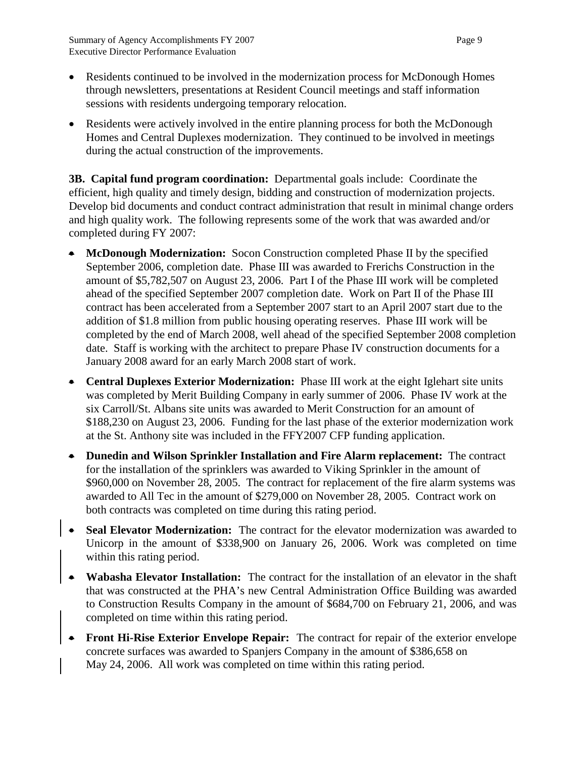- Residents continued to be involved in the modernization process for McDonough Homes through newsletters, presentations at Resident Council meetings and staff information sessions with residents undergoing temporary relocation.
- Residents were actively involved in the entire planning process for both the McDonough Homes and Central Duplexes modernization. They continued to be involved in meetings during the actual construction of the improvements.

**3B. Capital fund program coordination:** Departmental goals include: Coordinate the efficient, high quality and timely design, bidding and construction of modernization projects. Develop bid documents and conduct contract administration that result in minimal change orders and high quality work. The following represents some of the work that was awarded and/or completed during FY 2007:

- **McDonough Modernization:** Socon Construction completed Phase II by the specified September 2006, completion date. Phase III was awarded to Frerichs Construction in the amount of \$5,782,507 on August 23, 2006. Part I of the Phase III work will be completed ahead of the specified September 2007 completion date. Work on Part II of the Phase III contract has been accelerated from a September 2007 start to an April 2007 start due to the addition of \$1.8 million from public housing operating reserves. Phase III work will be completed by the end of March 2008, well ahead of the specified September 2008 completion date. Staff is working with the architect to prepare Phase IV construction documents for a January 2008 award for an early March 2008 start of work.
- **Central Duplexes Exterior Modernization:** Phase III work at the eight Iglehart site units was completed by Merit Building Company in early summer of 2006. Phase IV work at the six Carroll/St. Albans site units was awarded to Merit Construction for an amount of \$188,230 on August 23, 2006. Funding for the last phase of the exterior modernization work at the St. Anthony site was included in the FFY2007 CFP funding application.
- **Dunedin and Wilson Sprinkler Installation and Fire Alarm replacement:** The contract for the installation of the sprinklers was awarded to Viking Sprinkler in the amount of \$960,000 on November 28, 2005. The contract for replacement of the fire alarm systems was awarded to All Tec in the amount of \$279,000 on November 28, 2005. Contract work on both contracts was completed on time during this rating period.
- **Seal Elevator Modernization:** The contract for the elevator modernization was awarded to Unicorp in the amount of \$338,900 on January 26, 2006. Work was completed on time within this rating period.
- **Wabasha Elevator Installation:** The contract for the installation of an elevator in the shaft that was constructed at the PHA's new Central Administration Office Building was awarded to Construction Results Company in the amount of \$684,700 on February 21, 2006, and was completed on time within this rating period.
- **Front Hi-Rise Exterior Envelope Repair:** The contract for repair of the exterior envelope concrete surfaces was awarded to Spanjers Company in the amount of \$386,658 on May 24, 2006. All work was completed on time within this rating period.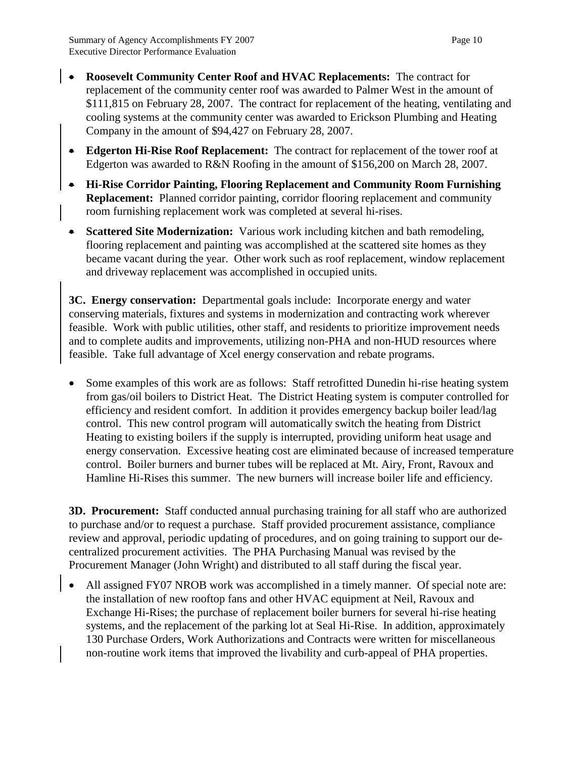- **Roosevelt Community Center Roof and HVAC Replacements:** The contract for replacement of the community center roof was awarded to Palmer West in the amount of \$111,815 on February 28, 2007. The contract for replacement of the heating, ventilating and cooling systems at the community center was awarded to Erickson Plumbing and Heating Company in the amount of \$94,427 on February 28, 2007.
- **Edgerton Hi-Rise Roof Replacement:** The contract for replacement of the tower roof at Edgerton was awarded to R&N Roofing in the amount of \$156,200 on March 28, 2007.
- **Hi-Rise Corridor Painting, Flooring Replacement and Community Room Furnishing Replacement:** Planned corridor painting, corridor flooring replacement and community room furnishing replacement work was completed at several hi-rises.
- **Scattered Site Modernization:** Various work including kitchen and bath remodeling, flooring replacement and painting was accomplished at the scattered site homes as they became vacant during the year. Other work such as roof replacement, window replacement and driveway replacement was accomplished in occupied units.

**3C. Energy conservation:** Departmental goals include: Incorporate energy and water conserving materials, fixtures and systems in modernization and contracting work wherever feasible. Work with public utilities, other staff, and residents to prioritize improvement needs and to complete audits and improvements, utilizing non-PHA and non-HUD resources where feasible. Take full advantage of Xcel energy conservation and rebate programs.

• Some examples of this work are as follows: Staff retrofitted Dunedin hi-rise heating system from gas/oil boilers to District Heat. The District Heating system is computer controlled for efficiency and resident comfort. In addition it provides emergency backup boiler lead/lag control. This new control program will automatically switch the heating from District Heating to existing boilers if the supply is interrupted, providing uniform heat usage and energy conservation. Excessive heating cost are eliminated because of increased temperature control. Boiler burners and burner tubes will be replaced at Mt. Airy, Front, Ravoux and Hamline Hi-Rises this summer. The new burners will increase boiler life and efficiency.

**3D. Procurement:** Staff conducted annual purchasing training for all staff who are authorized to purchase and/or to request a purchase. Staff provided procurement assistance, compliance review and approval, periodic updating of procedures, and on going training to support our decentralized procurement activities. The PHA Purchasing Manual was revised by the Procurement Manager (John Wright) and distributed to all staff during the fiscal year.

All assigned FY07 NROB work was accomplished in a timely manner. Of special note are: the installation of new rooftop fans and other HVAC equipment at Neil, Ravoux and Exchange Hi-Rises; the purchase of replacement boiler burners for several hi-rise heating systems, and the replacement of the parking lot at Seal Hi-Rise. In addition, approximately 130 Purchase Orders, Work Authorizations and Contracts were written for miscellaneous non-routine work items that improved the livability and curb-appeal of PHA properties.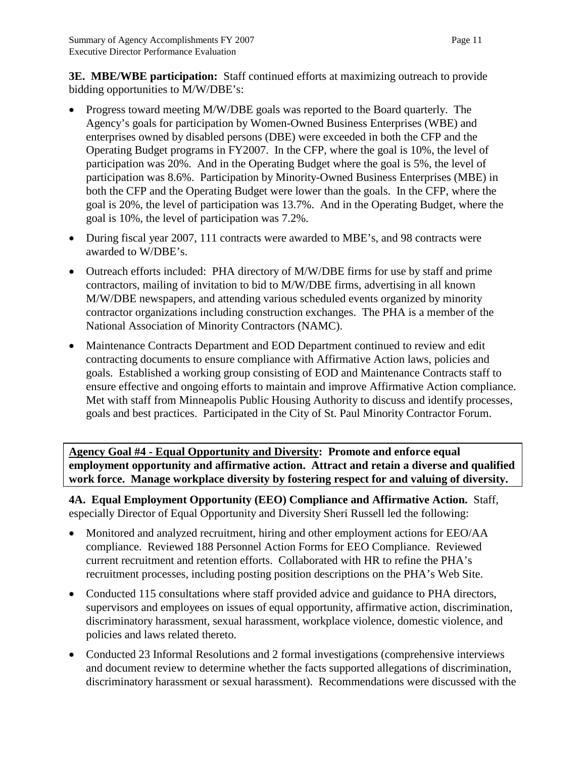**3E. MBE/WBE participation:** Staff continued efforts at maximizing outreach to provide bidding opportunities to M/W/DBE's:

- Progress toward meeting M/W/DBE goals was reported to the Board quarterly. The Agency's goals for participation by Women-Owned Business Enterprises (WBE) and enterprises owned by disabled persons (DBE) were exceeded in both the CFP and the Operating Budget programs in FY2007. In the CFP, where the goal is 10%, the level of participation was 20%. And in the Operating Budget where the goal is 5%, the level of participation was 8.6%. Participation by Minority-Owned Business Enterprises (MBE) in both the CFP and the Operating Budget were lower than the goals. In the CFP, where the goal is 20%, the level of participation was 13.7%. And in the Operating Budget, where the goal is 10%, the level of participation was 7.2%.
- During fiscal year 2007, 111 contracts were awarded to MBE's, and 98 contracts were awarded to W/DBE's.
- Outreach efforts included: PHA directory of M/W/DBE firms for use by staff and prime contractors, mailing of invitation to bid to M/W/DBE firms, advertising in all known M/W/DBE newspapers, and attending various scheduled events organized by minority contractor organizations including construction exchanges. The PHA is a member of the National Association of Minority Contractors (NAMC).
- Maintenance Contracts Department and EOD Department continued to review and edit contracting documents to ensure compliance with Affirmative Action laws, policies and goals. Established a working group consisting of EOD and Maintenance Contracts staff to ensure effective and ongoing efforts to maintain and improve Affirmative Action compliance. Met with staff from Minneapolis Public Housing Authority to discuss and identify processes, goals and best practices. Participated in the City of St. Paul Minority Contractor Forum.

**Agency Goal #4 - Equal Opportunity and Diversity: Promote and enforce equal employment opportunity and affirmative action. Attract and retain a diverse and qualified work force. Manage workplace diversity by fostering respect for and valuing of diversity.**

**4A. Equal Employment Opportunity (EEO) Compliance and Affirmative Action.** Staff, especially Director of Equal Opportunity and Diversity Sheri Russell led the following:

- Monitored and analyzed recruitment, hiring and other employment actions for EEO/AA compliance. Reviewed 188 Personnel Action Forms for EEO Compliance. Reviewed current recruitment and retention efforts. Collaborated with HR to refine the PHA's recruitment processes, including posting position descriptions on the PHA's Web Site.
- Conducted 115 consultations where staff provided advice and guidance to PHA directors, supervisors and employees on issues of equal opportunity, affirmative action, discrimination, discriminatory harassment, sexual harassment, workplace violence, domestic violence, and policies and laws related thereto.
- Conducted 23 Informal Resolutions and 2 formal investigations (comprehensive interviews and document review to determine whether the facts supported allegations of discrimination, discriminatory harassment or sexual harassment). Recommendations were discussed with the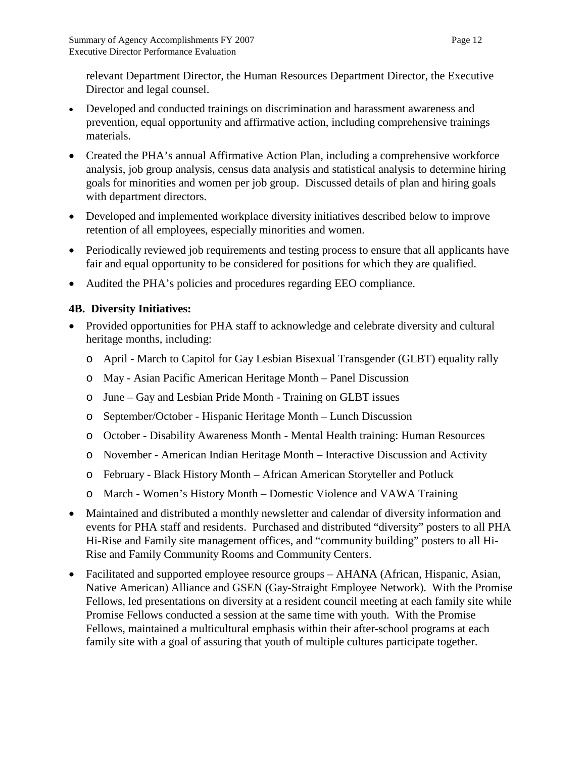relevant Department Director, the Human Resources Department Director, the Executive Director and legal counsel.

- Developed and conducted trainings on discrimination and harassment awareness and prevention, equal opportunity and affirmative action, including comprehensive trainings materials.
- Created the PHA's annual Affirmative Action Plan, including a comprehensive workforce analysis, job group analysis, census data analysis and statistical analysis to determine hiring goals for minorities and women per job group. Discussed details of plan and hiring goals with department directors.
- Developed and implemented workplace diversity initiatives described below to improve retention of all employees, especially minorities and women.
- Periodically reviewed job requirements and testing process to ensure that all applicants have fair and equal opportunity to be considered for positions for which they are qualified.
- Audited the PHA's policies and procedures regarding EEO compliance.

# **4B. Diversity Initiatives:**

- Provided opportunities for PHA staff to acknowledge and celebrate diversity and cultural heritage months, including:
	- o April March to Capitol for Gay Lesbian Bisexual Transgender (GLBT) equality rally
	- o May Asian Pacific American Heritage Month Panel Discussion
	- o June Gay and Lesbian Pride Month Training on GLBT issues
	- o September/October Hispanic Heritage Month Lunch Discussion
	- o October Disability Awareness Month Mental Health training: Human Resources
	- o November American Indian Heritage Month Interactive Discussion and Activity
	- o February Black History Month African American Storyteller and Potluck
	- o March Women's History Month Domestic Violence and VAWA Training
- Maintained and distributed a monthly newsletter and calendar of diversity information and events for PHA staff and residents. Purchased and distributed "diversity" posters to all PHA Hi-Rise and Family site management offices, and "community building" posters to all Hi-Rise and Family Community Rooms and Community Centers.
- Facilitated and supported employee resource groups AHANA (African, Hispanic, Asian, Native American) Alliance and GSEN (Gay-Straight Employee Network). With the Promise Fellows, led presentations on diversity at a resident council meeting at each family site while Promise Fellows conducted a session at the same time with youth. With the Promise Fellows, maintained a multicultural emphasis within their after-school programs at each family site with a goal of assuring that youth of multiple cultures participate together.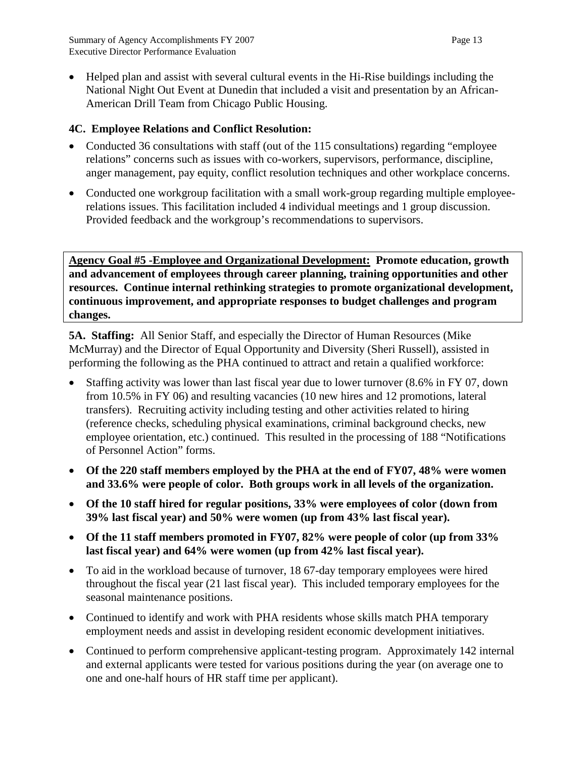• Helped plan and assist with several cultural events in the Hi-Rise buildings including the National Night Out Event at Dunedin that included a visit and presentation by an African-American Drill Team from Chicago Public Housing.

# **4C. Employee Relations and Conflict Resolution:**

- Conducted 36 consultations with staff (out of the 115 consultations) regarding "employee" relations" concerns such as issues with co-workers, supervisors, performance, discipline, anger management, pay equity, conflict resolution techniques and other workplace concerns.
- Conducted one workgroup facilitation with a small work-group regarding multiple employeerelations issues. This facilitation included 4 individual meetings and 1 group discussion. Provided feedback and the workgroup's recommendations to supervisors.

**Agency Goal #5 -Employee and Organizational Development: Promote education, growth and advancement of employees through career planning, training opportunities and other resources. Continue internal rethinking strategies to promote organizational development, continuous improvement, and appropriate responses to budget challenges and program changes.**

**5A. Staffing:** All Senior Staff, and especially the Director of Human Resources (Mike McMurray) and the Director of Equal Opportunity and Diversity (Sheri Russell), assisted in performing the following as the PHA continued to attract and retain a qualified workforce:

- Staffing activity was lower than last fiscal year due to lower turnover (8.6% in FY 07, down from 10.5% in FY 06) and resulting vacancies (10 new hires and 12 promotions, lateral transfers). Recruiting activity including testing and other activities related to hiring (reference checks, scheduling physical examinations, criminal background checks, new employee orientation, etc.) continued. This resulted in the processing of 188 "Notifications of Personnel Action" forms.
- **Of the 220 staff members employed by the PHA at the end of FY07, 48% were women and 33.6% were people of color. Both groups work in all levels of the organization.**
- **Of the 10 staff hired for regular positions, 33% were employees of color (down from 39% last fiscal year) and 50% were women (up from 43% last fiscal year).**
- **Of the 11 staff members promoted in FY07, 82% were people of color (up from 33% last fiscal year) and 64% were women (up from 42% last fiscal year).**
- To aid in the workload because of turnover, 1867-day temporary employees were hired throughout the fiscal year (21 last fiscal year). This included temporary employees for the seasonal maintenance positions.
- Continued to identify and work with PHA residents whose skills match PHA temporary employment needs and assist in developing resident economic development initiatives.
- Continued to perform comprehensive applicant-testing program. Approximately 142 internal and external applicants were tested for various positions during the year (on average one to one and one-half hours of HR staff time per applicant).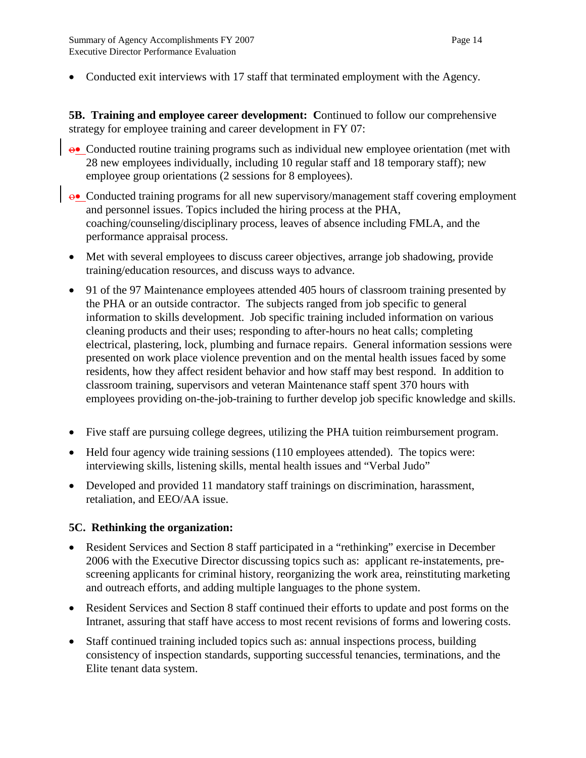• Conducted exit interviews with 17 staff that terminated employment with the Agency.

**5B. Training and employee career development: C**ontinued to follow our comprehensive strategy for employee training and career development in FY 07:

- ο• Conducted routine training programs such as individual new employee orientation (met with 28 new employees individually, including 10 regular staff and 18 temporary staff); new employee group orientations (2 sessions for 8 employees).
- ο• Conducted training programs for all new supervisory/management staff covering employment and personnel issues. Topics included the hiring process at the PHA, coaching/counseling/disciplinary process, leaves of absence including FMLA, and the performance appraisal process.
- Met with several employees to discuss career objectives, arrange job shadowing, provide training/education resources, and discuss ways to advance.
- 91 of the 97 Maintenance employees attended 405 hours of classroom training presented by the PHA or an outside contractor. The subjects ranged from job specific to general information to skills development. Job specific training included information on various cleaning products and their uses; responding to after-hours no heat calls; completing electrical, plastering, lock, plumbing and furnace repairs. General information sessions were presented on work place violence prevention and on the mental health issues faced by some residents, how they affect resident behavior and how staff may best respond. In addition to classroom training, supervisors and veteran Maintenance staff spent 370 hours with employees providing on-the-job-training to further develop job specific knowledge and skills.
- Five staff are pursuing college degrees, utilizing the PHA tuition reimbursement program.
- Held four agency wide training sessions (110 employees attended). The topics were: interviewing skills, listening skills, mental health issues and "Verbal Judo"
- Developed and provided 11 mandatory staff trainings on discrimination, harassment, retaliation, and EEO/AA issue.

#### **5C. Rethinking the organization:**

- Resident Services and Section 8 staff participated in a "rethinking" exercise in December 2006 with the Executive Director discussing topics such as: applicant re-instatements, prescreening applicants for criminal history, reorganizing the work area, reinstituting marketing and outreach efforts, and adding multiple languages to the phone system.
- Resident Services and Section 8 staff continued their efforts to update and post forms on the Intranet, assuring that staff have access to most recent revisions of forms and lowering costs.
- Staff continued training included topics such as: annual inspections process, building consistency of inspection standards, supporting successful tenancies, terminations, and the Elite tenant data system.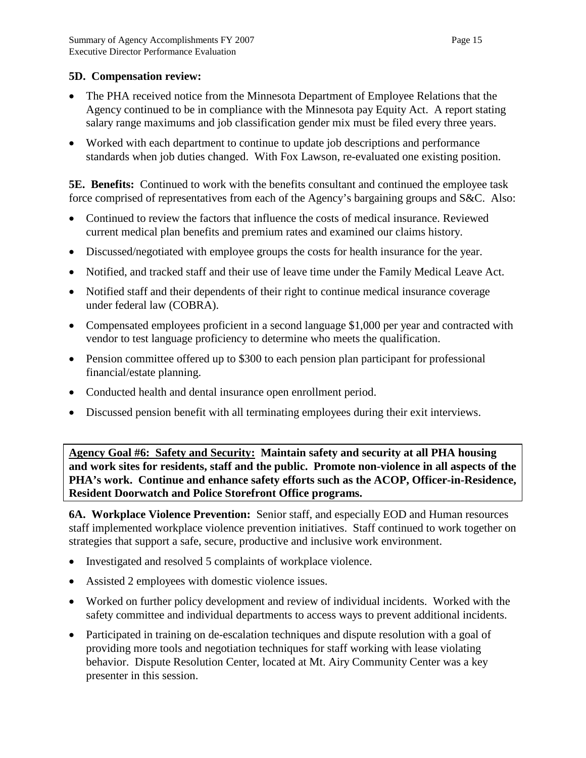#### **5D. Compensation review:**

- The PHA received notice from the Minnesota Department of Employee Relations that the Agency continued to be in compliance with the Minnesota pay Equity Act. A report stating salary range maximums and job classification gender mix must be filed every three years.
- Worked with each department to continue to update job descriptions and performance standards when job duties changed. With Fox Lawson, re-evaluated one existing position.

**5E. Benefits:** Continued to work with the benefits consultant and continued the employee task force comprised of representatives from each of the Agency's bargaining groups and S&C. Also:

- Continued to review the factors that influence the costs of medical insurance. Reviewed current medical plan benefits and premium rates and examined our claims history.
- Discussed/negotiated with employee groups the costs for health insurance for the year.
- Notified, and tracked staff and their use of leave time under the Family Medical Leave Act.
- Notified staff and their dependents of their right to continue medical insurance coverage under federal law (COBRA).
- Compensated employees proficient in a second language \$1,000 per year and contracted with vendor to test language proficiency to determine who meets the qualification.
- Pension committee offered up to \$300 to each pension plan participant for professional financial/estate planning.
- Conducted health and dental insurance open enrollment period.
- Discussed pension benefit with all terminating employees during their exit interviews.

**Agency Goal #6: Safety and Security: Maintain safety and security at all PHA housing and work sites for residents, staff and the public. Promote non-violence in all aspects of the PHA's work. Continue and enhance safety efforts such as the ACOP, Officer-in-Residence, Resident Doorwatch and Police Storefront Office programs.**

**6A. Workplace Violence Prevention:** Senior staff, and especially EOD and Human resources staff implemented workplace violence prevention initiatives. Staff continued to work together on strategies that support a safe, secure, productive and inclusive work environment.

- Investigated and resolved 5 complaints of workplace violence.
- Assisted 2 employees with domestic violence issues.
- Worked on further policy development and review of individual incidents. Worked with the safety committee and individual departments to access ways to prevent additional incidents.
- Participated in training on de-escalation techniques and dispute resolution with a goal of providing more tools and negotiation techniques for staff working with lease violating behavior. Dispute Resolution Center, located at Mt. Airy Community Center was a key presenter in this session.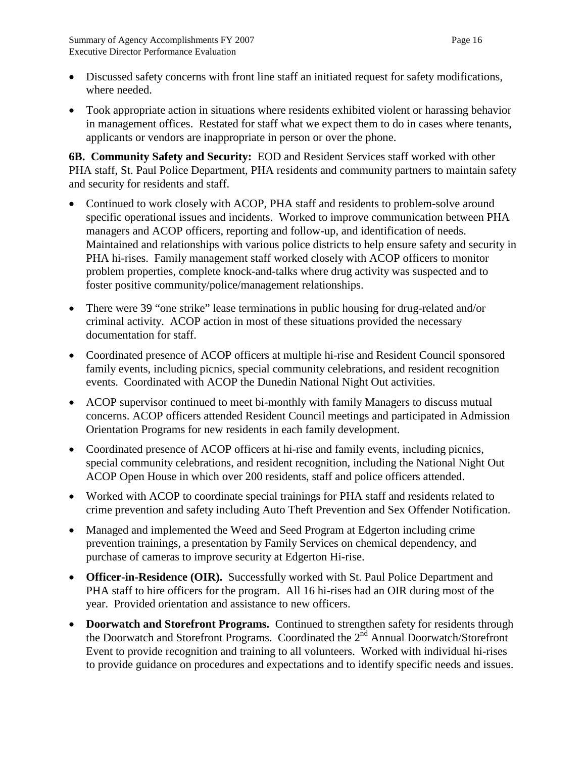- Discussed safety concerns with front line staff an initiated request for safety modifications, where needed.
- Took appropriate action in situations where residents exhibited violent or harassing behavior in management offices. Restated for staff what we expect them to do in cases where tenants, applicants or vendors are inappropriate in person or over the phone.

**6B. Community Safety and Security:** EOD and Resident Services staff worked with other PHA staff, St. Paul Police Department, PHA residents and community partners to maintain safety and security for residents and staff.

- Continued to work closely with ACOP, PHA staff and residents to problem-solve around specific operational issues and incidents. Worked to improve communication between PHA managers and ACOP officers, reporting and follow-up, and identification of needs. Maintained and relationships with various police districts to help ensure safety and security in PHA hi-rises. Family management staff worked closely with ACOP officers to monitor problem properties, complete knock-and-talks where drug activity was suspected and to foster positive community/police/management relationships.
- There were 39 "one strike" lease terminations in public housing for drug-related and/or criminal activity. ACOP action in most of these situations provided the necessary documentation for staff.
- Coordinated presence of ACOP officers at multiple hi-rise and Resident Council sponsored family events, including picnics, special community celebrations, and resident recognition events. Coordinated with ACOP the Dunedin National Night Out activities.
- ACOP supervisor continued to meet bi-monthly with family Managers to discuss mutual concerns. ACOP officers attended Resident Council meetings and participated in Admission Orientation Programs for new residents in each family development.
- Coordinated presence of ACOP officers at hi-rise and family events, including picnics, special community celebrations, and resident recognition, including the National Night Out ACOP Open House in which over 200 residents, staff and police officers attended.
- Worked with ACOP to coordinate special trainings for PHA staff and residents related to crime prevention and safety including Auto Theft Prevention and Sex Offender Notification.
- Managed and implemented the Weed and Seed Program at Edgerton including crime prevention trainings, a presentation by Family Services on chemical dependency, and purchase of cameras to improve security at Edgerton Hi-rise.
- **Officer-in-Residence (OIR).** Successfully worked with St. Paul Police Department and PHA staff to hire officers for the program. All 16 hi-rises had an OIR during most of the year.Provided orientation and assistance to new officers.
- **Doorwatch and Storefront Programs.** Continued to strengthen safety for residents through the Doorwatch and Storefront Programs. Coordinated the  $2<sup>nd</sup>$  Annual Doorwatch/Storefront Event to provide recognition and training to all volunteers. Worked with individual hi-rises to provide guidance on procedures and expectations and to identify specific needs and issues.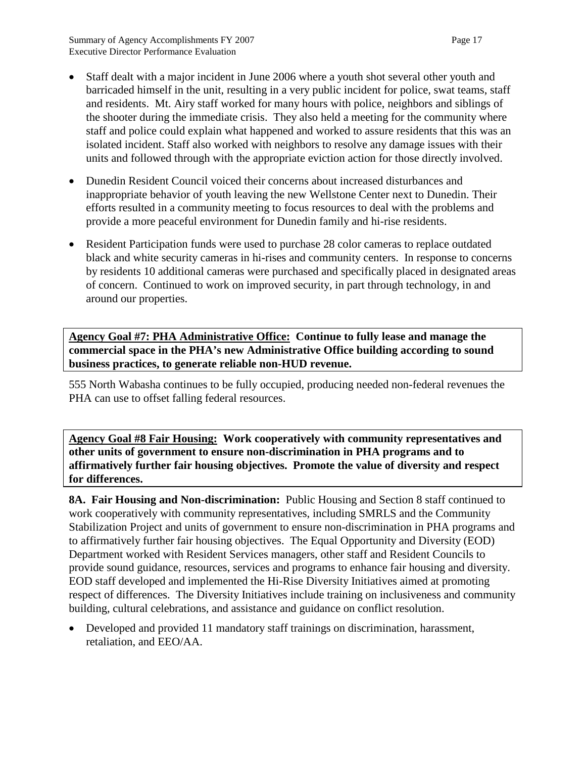- Staff dealt with a major incident in June 2006 where a youth shot several other youth and barricaded himself in the unit, resulting in a very public incident for police, swat teams, staff and residents. Mt. Airy staff worked for many hours with police, neighbors and siblings of the shooter during the immediate crisis. They also held a meeting for the community where staff and police could explain what happened and worked to assure residents that this was an isolated incident. Staff also worked with neighbors to resolve any damage issues with their units and followed through with the appropriate eviction action for those directly involved.
- Dunedin Resident Council voiced their concerns about increased disturbances and inappropriate behavior of youth leaving the new Wellstone Center next to Dunedin. Their efforts resulted in a community meeting to focus resources to deal with the problems and provide a more peaceful environment for Dunedin family and hi-rise residents.
- Resident Participation funds were used to purchase 28 color cameras to replace outdated black and white security cameras in hi-rises and community centers. In response to concerns by residents 10 additional cameras were purchased and specifically placed in designated areas of concern. Continued to work on improved security, in part through technology, in and around our properties.

**Agency Goal #7: PHA Administrative Office: Continue to fully lease and manage the commercial space in the PHA's new Administrative Office building according to sound business practices, to generate reliable non-HUD revenue.**

555 North Wabasha continues to be fully occupied, producing needed non-federal revenues the PHA can use to offset falling federal resources.

**Agency Goal #8 Fair Housing: Work cooperatively with community representatives and other units of government to ensure non-discrimination in PHA programs and to affirmatively further fair housing objectives. Promote the value of diversity and respect for differences.**

**8A. Fair Housing and Non-discrimination:** Public Housing and Section 8 staff continued to work cooperatively with community representatives, including SMRLS and the Community Stabilization Project and units of government to ensure non-discrimination in PHA programs and to affirmatively further fair housing objectives. The Equal Opportunity and Diversity (EOD) Department worked with Resident Services managers, other staff and Resident Councils to provide sound guidance, resources, services and programs to enhance fair housing and diversity. EOD staff developed and implemented the Hi-Rise Diversity Initiatives aimed at promoting respect of differences. The Diversity Initiatives include training on inclusiveness and community building, cultural celebrations, and assistance and guidance on conflict resolution.

• Developed and provided 11 mandatory staff trainings on discrimination, harassment, retaliation, and EEO/AA.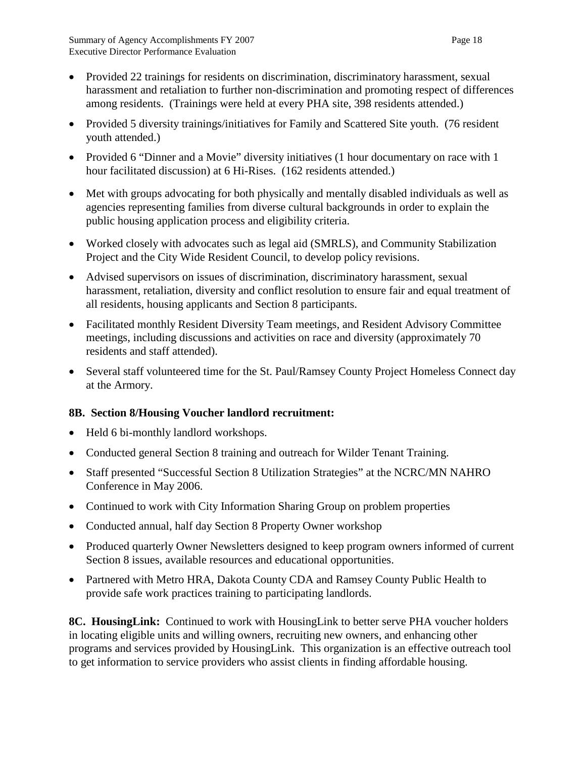- Provided 22 trainings for residents on discrimination, discriminatory harassment, sexual harassment and retaliation to further non-discrimination and promoting respect of differences among residents. (Trainings were held at every PHA site, 398 residents attended.)
- Provided 5 diversity trainings/initiatives for Family and Scattered Site youth. (76 resident youth attended.)
- Provided 6 "Dinner and a Movie" diversity initiatives (1 hour documentary on race with 1 hour facilitated discussion) at 6 Hi-Rises. (162 residents attended.)
- Met with groups advocating for both physically and mentally disabled individuals as well as agencies representing families from diverse cultural backgrounds in order to explain the public housing application process and eligibility criteria.
- Worked closely with advocates such as legal aid (SMRLS), and Community Stabilization Project and the City Wide Resident Council, to develop policy revisions.
- Advised supervisors on issues of discrimination, discriminatory harassment, sexual harassment, retaliation, diversity and conflict resolution to ensure fair and equal treatment of all residents, housing applicants and Section 8 participants.
- Facilitated monthly Resident Diversity Team meetings, and Resident Advisory Committee meetings, including discussions and activities on race and diversity (approximately 70 residents and staff attended).
- Several staff volunteered time for the St. Paul/Ramsey County Project Homeless Connect day at the Armory.

# **8B. Section 8/Housing Voucher landlord recruitment:**

- Held 6 bi-monthly landlord workshops.
- Conducted general Section 8 training and outreach for Wilder Tenant Training.
- Staff presented "Successful Section 8 Utilization Strategies" at the NCRC/MN NAHRO Conference in May 2006.
- Continued to work with City Information Sharing Group on problem properties
- Conducted annual, half day Section 8 Property Owner workshop
- Produced quarterly Owner Newsletters designed to keep program owners informed of current Section 8 issues, available resources and educational opportunities.
- Partnered with Metro HRA, Dakota County CDA and Ramsey County Public Health to provide safe work practices training to participating landlords.

**8C. HousingLink:** Continued to work with HousingLink to better serve PHA voucher holders in locating eligible units and willing owners, recruiting new owners, and enhancing other programs and services provided by HousingLink. This organization is an effective outreach tool to get information to service providers who assist clients in finding affordable housing.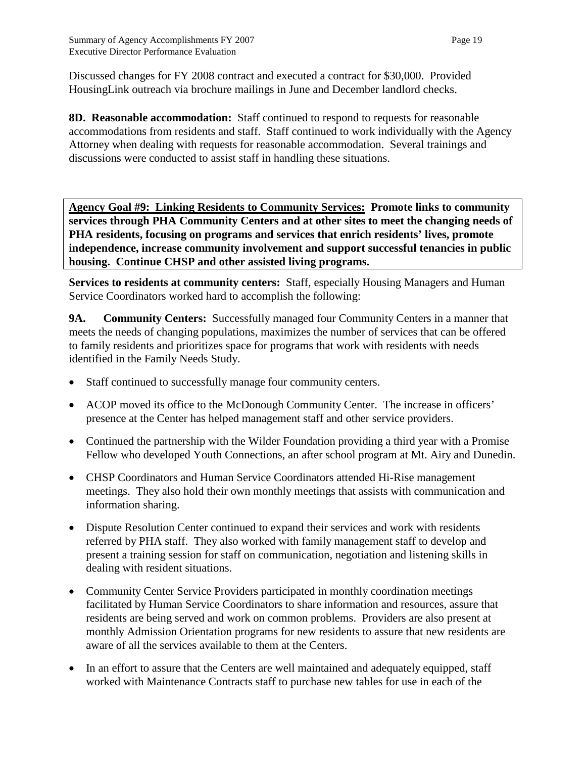Discussed changes for FY 2008 contract and executed a contract for \$30,000. Provided HousingLink outreach via brochure mailings in June and December landlord checks.

**8D. Reasonable accommodation:** Staff continued to respond to requests for reasonable accommodations from residents and staff. Staff continued to work individually with the Agency Attorney when dealing with requests for reasonable accommodation. Several trainings and discussions were conducted to assist staff in handling these situations.

**Agency Goal #9: Linking Residents to Community Services: Promote links to community services through PHA Community Centers and at other sites to meet the changing needs of PHA residents, focusing on programs and services that enrich residents' lives, promote independence, increase community involvement and support successful tenancies in public housing. Continue CHSP and other assisted living programs.**

**Services to residents at community centers:** Staff, especially Housing Managers and Human Service Coordinators worked hard to accomplish the following:

**9A. Community Centers:** Successfully managed four Community Centers in a manner that meets the needs of changing populations, maximizes the number of services that can be offered to family residents and prioritizes space for programs that work with residents with needs identified in the Family Needs Study.

- Staff continued to successfully manage four community centers.
- ACOP moved its office to the McDonough Community Center. The increase in officers' presence at the Center has helped management staff and other service providers.
- Continued the partnership with the Wilder Foundation providing a third year with a Promise Fellow who developed Youth Connections, an after school program at Mt. Airy and Dunedin.
- CHSP Coordinators and Human Service Coordinators attended Hi-Rise management meetings. They also hold their own monthly meetings that assists with communication and information sharing.
- Dispute Resolution Center continued to expand their services and work with residents referred by PHA staff. They also worked with family management staff to develop and present a training session for staff on communication, negotiation and listening skills in dealing with resident situations.
- Community Center Service Providers participated in monthly coordination meetings facilitated by Human Service Coordinators to share information and resources, assure that residents are being served and work on common problems. Providers are also present at monthly Admission Orientation programs for new residents to assure that new residents are aware of all the services available to them at the Centers.
- In an effort to assure that the Centers are well maintained and adequately equipped, staff worked with Maintenance Contracts staff to purchase new tables for use in each of the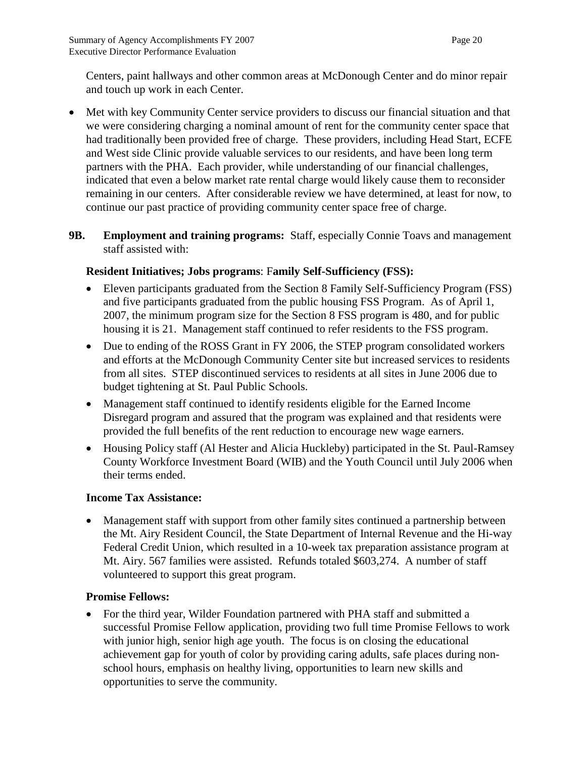Centers, paint hallways and other common areas at McDonough Center and do minor repair and touch up work in each Center.

- Met with key Community Center service providers to discuss our financial situation and that we were considering charging a nominal amount of rent for the community center space that had traditionally been provided free of charge. These providers, including Head Start, ECFE and West side Clinic provide valuable services to our residents, and have been long term partners with the PHA. Each provider, while understanding of our financial challenges, indicated that even a below market rate rental charge would likely cause them to reconsider remaining in our centers. After considerable review we have determined, at least for now, to continue our past practice of providing community center space free of charge.
- **9B. Employment and training programs:** Staff, especially Connie Toavs and management staff assisted with:

## **Resident Initiatives; Jobs programs**: F**amily Self-Sufficiency (FSS):**

- Eleven participants graduated from the Section 8 Family Self-Sufficiency Program (FSS) and five participants graduated from the public housing FSS Program. As of April 1, 2007, the minimum program size for the Section 8 FSS program is 480, and for public housing it is 21. Management staff continued to refer residents to the FSS program.
- Due to ending of the ROSS Grant in FY 2006, the STEP program consolidated workers and efforts at the McDonough Community Center site but increased services to residents from all sites. STEP discontinued services to residents at all sites in June 2006 due to budget tightening at St. Paul Public Schools.
- Management staff continued to identify residents eligible for the Earned Income Disregard program and assured that the program was explained and that residents were provided the full benefits of the rent reduction to encourage new wage earners.
- Housing Policy staff (Al Hester and Alicia Huckleby) participated in the St. Paul-Ramsey County Workforce Investment Board (WIB) and the Youth Council until July 2006 when their terms ended.

#### **Income Tax Assistance:**

• Management staff with support from other family sites continued a partnership between the Mt. Airy Resident Council, the State Department of Internal Revenue and the Hi-way Federal Credit Union, which resulted in a 10-week tax preparation assistance program at Mt. Airy. 567 families were assisted. Refunds totaled \$603,274. A number of staff volunteered to support this great program.

#### **Promise Fellows:**

• For the third year, Wilder Foundation partnered with PHA staff and submitted a successful Promise Fellow application, providing two full time Promise Fellows to work with junior high, senior high age youth. The focus is on closing the educational achievement gap for youth of color by providing caring adults, safe places during nonschool hours, emphasis on healthy living, opportunities to learn new skills and opportunities to serve the community.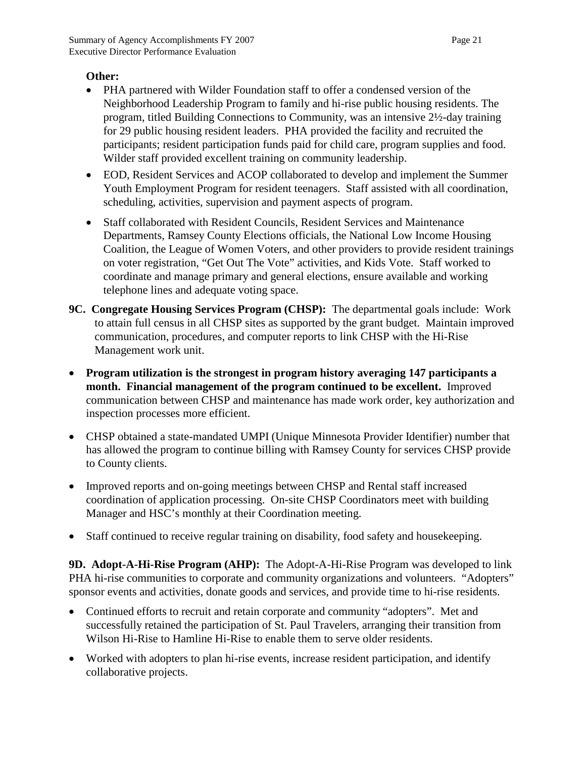#### **Other:**

- PHA partnered with Wilder Foundation staff to offer a condensed version of the Neighborhood Leadership Program to family and hi-rise public housing residents. The program, titled Building Connections to Community, was an intensive 2½-day training for 29 public housing resident leaders. PHA provided the facility and recruited the participants; resident participation funds paid for child care, program supplies and food. Wilder staff provided excellent training on community leadership.
- EOD, Resident Services and ACOP collaborated to develop and implement the Summer Youth Employment Program for resident teenagers. Staff assisted with all coordination, scheduling, activities, supervision and payment aspects of program.
- Staff collaborated with Resident Councils, Resident Services and Maintenance Departments, Ramsey County Elections officials, the National Low Income Housing Coalition, the League of Women Voters, and other providers to provide resident trainings on voter registration, "Get Out The Vote" activities, and Kids Vote. Staff worked to coordinate and manage primary and general elections, ensure available and working telephone lines and adequate voting space.
- **9C. Congregate Housing Services Program (CHSP):** The departmental goals include:Work to attain full census in all CHSP sites as supported by the grant budget. Maintain improved communication, procedures, and computer reports to link CHSP with the Hi-Rise Management work unit.
- **Program utilization is the strongest in program history averaging 147 participants a month. Financial management of the program continued to be excellent.** Improved communication between CHSP and maintenance has made work order, key authorization and inspection processes more efficient.
- CHSP obtained a state-mandated UMPI (Unique Minnesota Provider Identifier) number that has allowed the program to continue billing with Ramsey County for services CHSP provide to County clients.
- Improved reports and on-going meetings between CHSP and Rental staff increased coordination of application processing. On-site CHSP Coordinators meet with building Manager and HSC's monthly at their Coordination meeting.
- Staff continued to receive regular training on disability, food safety and housekeeping.

**9D. Adopt-A-Hi-Rise Program (AHP):** The Adopt-A-Hi-Rise Program was developed to link PHA hi-rise communities to corporate and community organizations and volunteers. "Adopters" sponsor events and activities, donate goods and services, and provide time to hi-rise residents.

- Continued efforts to recruit and retain corporate and community "adopters". Met and successfully retained the participation of St. Paul Travelers, arranging their transition from Wilson Hi-Rise to Hamline Hi-Rise to enable them to serve older residents.
- Worked with adopters to plan hi-rise events, increase resident participation, and identify collaborative projects.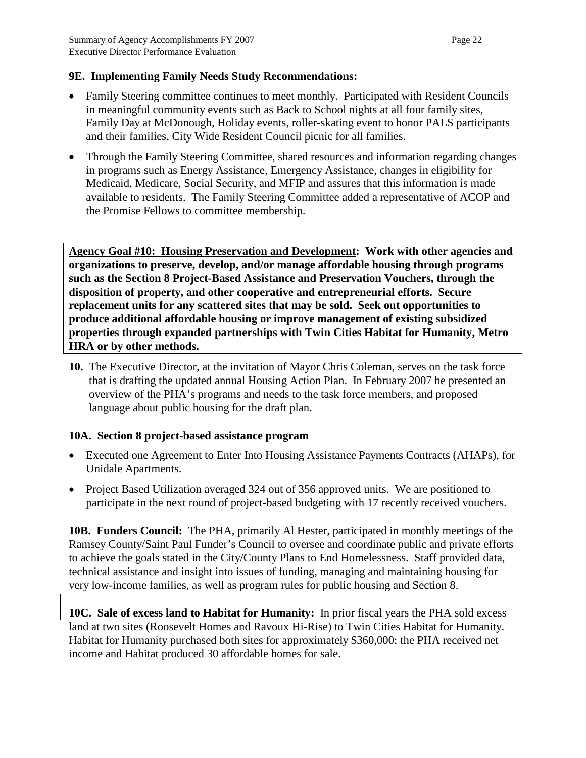### **9E. Implementing Family Needs Study Recommendations:**

- Family Steering committee continues to meet monthly. Participated with Resident Councils in meaningful community events such as Back to School nights at all four family sites, Family Day at McDonough, Holiday events, roller-skating event to honor PALS participants and their families, City Wide Resident Council picnic for all families.
- Through the Family Steering Committee, shared resources and information regarding changes in programs such as Energy Assistance, Emergency Assistance, changes in eligibility for Medicaid, Medicare, Social Security, and MFIP and assures that this information is made available to residents. The Family Steering Committee added a representative of ACOP and the Promise Fellows to committee membership.

**Agency Goal #10: Housing Preservation and Development: Work with other agencies and organizations to preserve, develop, and/or manage affordable housing through programs such as the Section 8 Project-Based Assistance and Preservation Vouchers, through the disposition of property, and other cooperative and entrepreneurial efforts. Secure replacement units for any scattered sites that may be sold. Seek out opportunities to produce additional affordable housing or improve management of existing subsidized properties through expanded partnerships with Twin Cities Habitat for Humanity, Metro HRA or by other methods.**

**10.** The Executive Director, at the invitation of Mayor Chris Coleman, serves on the task force that is drafting the updated annual Housing Action Plan. In February 2007 he presented an overview of the PHA's programs and needs to the task force members, and proposed language about public housing for the draft plan.

#### **10A. Section 8 project-based assistance program**

- Executed one Agreement to Enter Into Housing Assistance Payments Contracts (AHAPs), for Unidale Apartments.
- Project Based Utilization averaged 324 out of 356 approved units. We are positioned to participate in the next round of project-based budgeting with 17 recently received vouchers.

**10B. Funders Council:** The PHA, primarily Al Hester, participated in monthly meetings of the Ramsey County/Saint Paul Funder's Council to oversee and coordinate public and private efforts to achieve the goals stated in the City/County Plans to End Homelessness. Staff provided data, technical assistance and insight into issues of funding, managing and maintaining housing for very low-income families, as well as program rules for public housing and Section 8.

**10C. Sale of excess land to Habitat for Humanity:** In prior fiscal years the PHA sold excess land at two sites (Roosevelt Homes and Ravoux Hi-Rise) to Twin Cities Habitat for Humanity. Habitat for Humanity purchased both sites for approximately \$360,000; the PHA received net income and Habitat produced 30 affordable homes for sale.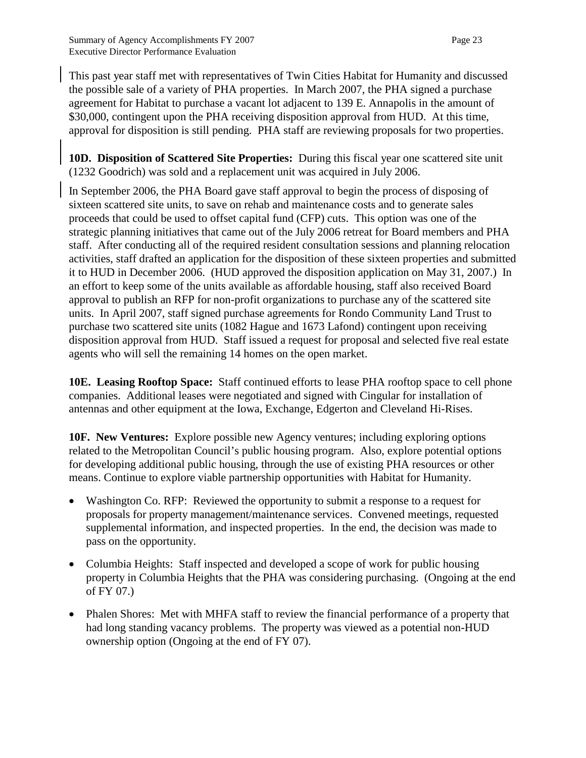This past year staff met with representatives of Twin Cities Habitat for Humanity and discussed the possible sale of a variety of PHA properties. In March 2007, the PHA signed a purchase agreement for Habitat to purchase a vacant lot adjacent to 139 E. Annapolis in the amount of \$30,000, contingent upon the PHA receiving disposition approval from HUD. At this time, approval for disposition is still pending. PHA staff are reviewing proposals for two properties.

**10D. Disposition of Scattered Site Properties:** During this fiscal year one scattered site unit (1232 Goodrich) was sold and a replacement unit was acquired in July 2006.

In September 2006, the PHA Board gave staff approval to begin the process of disposing of sixteen scattered site units, to save on rehab and maintenance costs and to generate sales proceeds that could be used to offset capital fund (CFP) cuts. This option was one of the strategic planning initiatives that came out of the July 2006 retreat for Board members and PHA staff. After conducting all of the required resident consultation sessions and planning relocation activities, staff drafted an application for the disposition of these sixteen properties and submitted it to HUD in December 2006. (HUD approved the disposition application on May 31, 2007.) In an effort to keep some of the units available as affordable housing, staff also received Board approval to publish an RFP for non-profit organizations to purchase any of the scattered site units. In April 2007, staff signed purchase agreements for Rondo Community Land Trust to purchase two scattered site units (1082 Hague and 1673 Lafond) contingent upon receiving disposition approval from HUD. Staff issued a request for proposal and selected five real estate agents who will sell the remaining 14 homes on the open market.

**10E. Leasing Rooftop Space:** Staff continued efforts to lease PHA rooftop space to cell phone companies. Additional leases were negotiated and signed with Cingular for installation of antennas and other equipment at the Iowa, Exchange, Edgerton and Cleveland Hi-Rises.

**10F. New Ventures:** Explore possible new Agency ventures; including exploring options related to the Metropolitan Council's public housing program. Also, explore potential options for developing additional public housing, through the use of existing PHA resources or other means. Continue to explore viable partnership opportunities with Habitat for Humanity.

- Washington Co. RFP: Reviewed the opportunity to submit a response to a request for proposals for property management/maintenance services. Convened meetings, requested supplemental information, and inspected properties. In the end, the decision was made to pass on the opportunity.
- Columbia Heights: Staff inspected and developed a scope of work for public housing property in Columbia Heights that the PHA was considering purchasing. (Ongoing at the end of FY 07.)
- Phalen Shores: Met with MHFA staff to review the financial performance of a property that had long standing vacancy problems. The property was viewed as a potential non-HUD ownership option (Ongoing at the end of FY 07).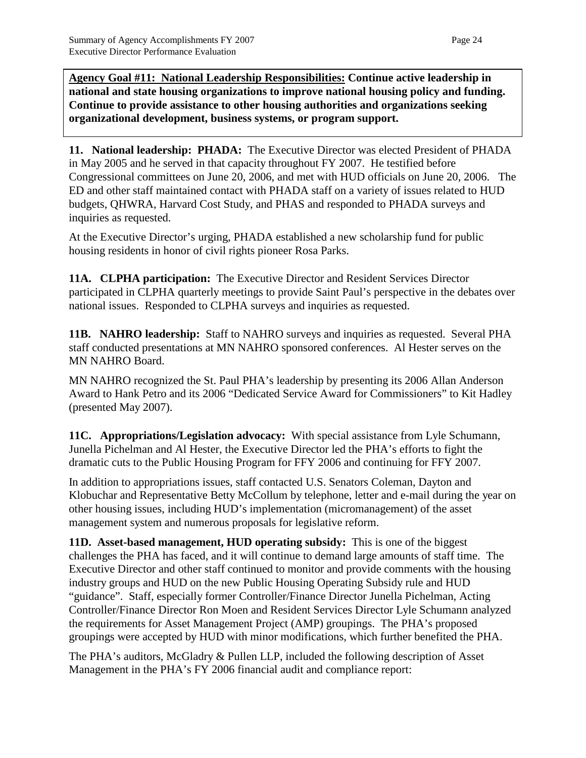**Agency Goal #11: National Leadership Responsibilities: Continue active leadership in national and state housing organizations to improve national housing policy and funding. Continue to provide assistance to other housing authorities and organizations seeking organizational development, business systems, or program support.**

**11. National leadership: PHADA:** The Executive Director was elected President of PHADA in May 2005 and he served in that capacity throughout FY 2007. He testified before Congressional committees on June 20, 2006, and met with HUD officials on June 20, 2006. The ED and other staff maintained contact with PHADA staff on a variety of issues related to HUD budgets, QHWRA, Harvard Cost Study, and PHAS and responded to PHADA surveys and inquiries as requested.

At the Executive Director's urging, PHADA established a new scholarship fund for public housing residents in honor of civil rights pioneer Rosa Parks.

**11A. CLPHA participation:** The Executive Director and Resident Services Director participated in CLPHA quarterly meetings to provide Saint Paul's perspective in the debates over national issues. Responded to CLPHA surveys and inquiries as requested.

**11B. NAHRO leadership:** Staff to NAHRO surveys and inquiries as requested. Several PHA staff conducted presentations at MN NAHRO sponsored conferences. Al Hester serves on the MN NAHRO Board.

MN NAHRO recognized the St. Paul PHA's leadership by presenting its 2006 Allan Anderson Award to Hank Petro and its 2006 "Dedicated Service Award for Commissioners" to Kit Hadley (presented May 2007).

**11C. Appropriations/Legislation advocacy:** With special assistance from Lyle Schumann, Junella Pichelman and Al Hester, the Executive Director led the PHA's efforts to fight the dramatic cuts to the Public Housing Program for FFY 2006 and continuing for FFY 2007.

In addition to appropriations issues, staff contacted U.S. Senators Coleman, Dayton and Klobuchar and Representative Betty McCollum by telephone, letter and e-mail during the year on other housing issues, including HUD's implementation (micromanagement) of the asset management system and numerous proposals for legislative reform.

**11D. Asset-based management, HUD operating subsidy:** This is one of the biggest challenges the PHA has faced, and it will continue to demand large amounts of staff time. The Executive Director and other staff continued to monitor and provide comments with the housing industry groups and HUD on the new Public Housing Operating Subsidy rule and HUD "guidance". Staff, especially former Controller/Finance Director Junella Pichelman, Acting Controller/Finance Director Ron Moen and Resident Services Director Lyle Schumann analyzed the requirements for Asset Management Project (AMP) groupings. The PHA's proposed groupings were accepted by HUD with minor modifications, which further benefited the PHA.

The PHA's auditors, McGladry & Pullen LLP, included the following description of Asset Management in the PHA's FY 2006 financial audit and compliance report: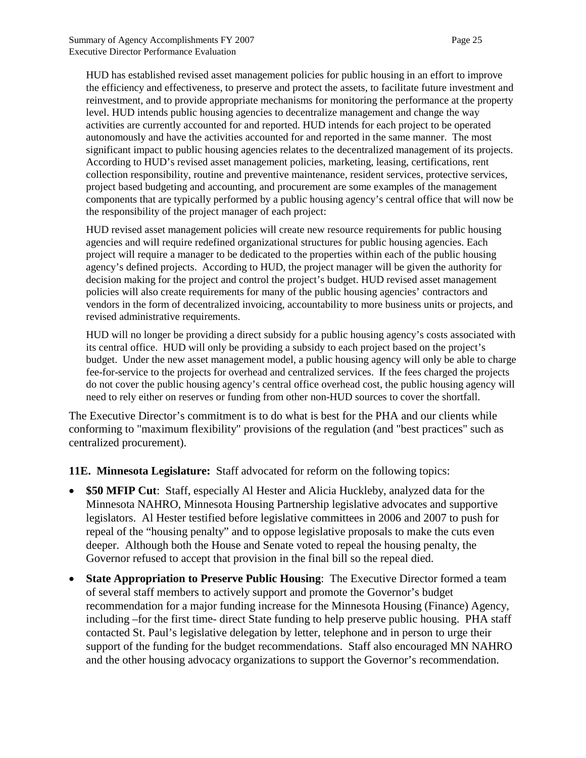HUD has established revised asset management policies for public housing in an effort to improve the efficiency and effectiveness, to preserve and protect the assets, to facilitate future investment and reinvestment, and to provide appropriate mechanisms for monitoring the performance at the property level. HUD intends public housing agencies to decentralize management and change the way activities are currently accounted for and reported. HUD intends for each project to be operated autonomously and have the activities accounted for and reported in the same manner. The most significant impact to public housing agencies relates to the decentralized management of its projects. According to HUD's revised asset management policies, marketing, leasing, certifications, rent collection responsibility, routine and preventive maintenance, resident services, protective services, project based budgeting and accounting, and procurement are some examples of the management components that are typically performed by a public housing agency's central office that will now be the responsibility of the project manager of each project:

HUD revised asset management policies will create new resource requirements for public housing agencies and will require redefined organizational structures for public housing agencies. Each project will require a manager to be dedicated to the properties within each of the public housing agency's defined projects. According to HUD, the project manager will be given the authority for decision making for the project and control the project's budget. HUD revised asset management policies will also create requirements for many of the public housing agencies' contractors and vendors in the form of decentralized invoicing, accountability to more business units or projects, and revised administrative requirements.

HUD will no longer be providing a direct subsidy for a public housing agency's costs associated with its central office. HUD will only be providing a subsidy to each project based on the project's budget. Under the new asset management model, a public housing agency will only be able to charge fee-for-service to the projects for overhead and centralized services. If the fees charged the projects do not cover the public housing agency's central office overhead cost, the public housing agency will need to rely either on reserves or funding from other non-HUD sources to cover the shortfall.

The Executive Director's commitment is to do what is best for the PHA and our clients while conforming to "maximum flexibility" provisions of the regulation (and "best practices" such as centralized procurement).

**11E. Minnesota Legislature:** Staff advocated for reform on the following topics:

- **\$50 MFIP Cut**: Staff, especially Al Hester and Alicia Huckleby, analyzed data for the Minnesota NAHRO, Minnesota Housing Partnership legislative advocates and supportive legislators. Al Hester testified before legislative committees in 2006 and 2007 to push for repeal of the "housing penalty" and to oppose legislative proposals to make the cuts even deeper. Although both the House and Senate voted to repeal the housing penalty, the Governor refused to accept that provision in the final bill so the repeal died.
- **State Appropriation to Preserve Public Housing:** The Executive Director formed a team of several staff members to actively support and promote the Governor's budget recommendation for a major funding increase for the Minnesota Housing (Finance) Agency, including –for the first time- direct State funding to help preserve public housing. PHA staff contacted St. Paul's legislative delegation by letter, telephone and in person to urge their support of the funding for the budget recommendations. Staff also encouraged MN NAHRO and the other housing advocacy organizations to support the Governor's recommendation.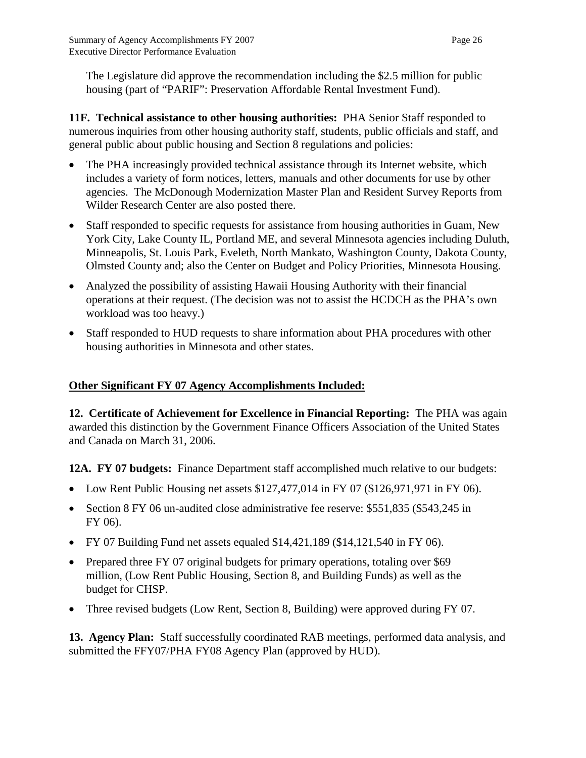The Legislature did approve the recommendation including the \$2.5 million for public housing (part of "PARIF": Preservation Affordable Rental Investment Fund).

**11F. Technical assistance to other housing authorities:** PHA Senior Staff responded to numerous inquiries from other housing authority staff, students, public officials and staff, and general public about public housing and Section 8 regulations and policies:

- The PHA increasingly provided technical assistance through its Internet website, which includes a variety of form notices, letters, manuals and other documents for use by other agencies. The McDonough Modernization Master Plan and Resident Survey Reports from Wilder Research Center are also posted there.
- Staff responded to specific requests for assistance from housing authorities in Guam, New York City, Lake County IL, Portland ME, and several Minnesota agencies including Duluth, Minneapolis, St. Louis Park, Eveleth, North Mankato, Washington County, Dakota County, Olmsted County and; also the Center on Budget and Policy Priorities, Minnesota Housing.
- Analyzed the possibility of assisting Hawaii Housing Authority with their financial operations at their request. (The decision was not to assist the HCDCH as the PHA's own workload was too heavy.)
- Staff responded to HUD requests to share information about PHA procedures with other housing authorities in Minnesota and other states.

### **Other Significant FY 07 Agency Accomplishments Included:**

**12. Certificate of Achievement for Excellence in Financial Reporting:** The PHA was again awarded this distinction by the Government Finance Officers Association of the United States and Canada on March 31, 2006.

**12A. FY 07 budgets:** Finance Department staff accomplished much relative to our budgets:

- Low Rent Public Housing net assets \$127,477,014 in FY 07 (\$126,971,971 in FY 06).
- Section 8 FY 06 un-audited close administrative fee reserve: \$551,835 (\$543,245 in FY 06).
- FY 07 Building Fund net assets equaled \$14,421,189 (\$14,121,540 in FY 06).
- Prepared three FY 07 original budgets for primary operations, totaling over \$69 million, (Low Rent Public Housing, Section 8, and Building Funds) as well as the budget for CHSP.
- Three revised budgets (Low Rent, Section 8, Building) were approved during FY 07.

**13. Agency Plan:** Staff successfully coordinated RAB meetings, performed data analysis, and submitted the FFY07/PHA FY08 Agency Plan (approved by HUD).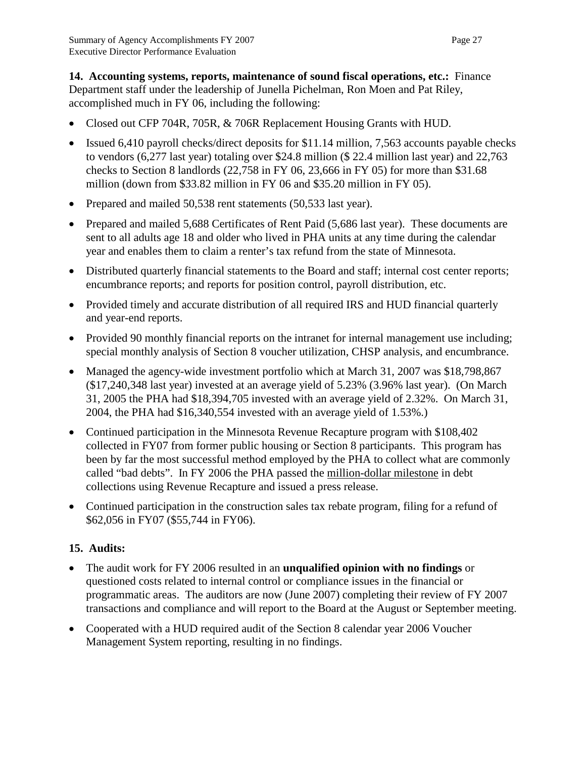**14. Accounting systems, reports, maintenance of sound fiscal operations, etc.:** Finance Department staff under the leadership of Junella Pichelman, Ron Moen and Pat Riley, accomplished much in FY 06, including the following:

- Closed out CFP 704R, 705R, & 706R Replacement Housing Grants with HUD.
- Issued 6,410 payroll checks/direct deposits for \$11.14 million, 7,563 accounts payable checks to vendors (6,277 last year) totaling over \$24.8 million (\$ 22.4 million last year) and 22,763 checks to Section 8 landlords (22,758 in FY 06, 23,666 in FY 05) for more than \$31.68 million (down from \$33.82 million in FY 06 and \$35.20 million in FY 05).
- Prepared and mailed 50,538 rent statements (50,533 last year).
- Prepared and mailed 5,688 Certificates of Rent Paid (5,686 last year). These documents are sent to all adults age 18 and older who lived in PHA units at any time during the calendar year and enables them to claim a renter's tax refund from the state of Minnesota.
- Distributed quarterly financial statements to the Board and staff; internal cost center reports; encumbrance reports; and reports for position control, payroll distribution, etc.
- Provided timely and accurate distribution of all required IRS and HUD financial quarterly and year-end reports.
- Provided 90 monthly financial reports on the intranet for internal management use including; special monthly analysis of Section 8 voucher utilization, CHSP analysis, and encumbrance.
- Managed the agency-wide investment portfolio which at March 31, 2007 was \$18,798,867 (\$17,240,348 last year) invested at an average yield of 5.23% (3.96% last year). (On March 31, 2005 the PHA had \$18,394,705 invested with an average yield of 2.32%. On March 31, 2004, the PHA had \$16,340,554 invested with an average yield of 1.53%.)
- Continued participation in the Minnesota Revenue Recapture program with \$108,402 collected in FY07 from former public housing or Section 8 participants. This program has been by far the most successful method employed by the PHA to collect what are commonly called "bad debts". In FY 2006 the PHA passed the million-dollar milestone in debt collections using Revenue Recapture and issued a press release.
- Continued participation in the construction sales tax rebate program, filing for a refund of \$62,056 in FY07 (\$55,744 in FY06).

# **15. Audits:**

- The audit work for FY 2006 resulted in an **unqualified opinion with no findings** or questioned costs related to internal control or compliance issues in the financial or programmatic areas. The auditors are now (June 2007) completing their review of FY 2007 transactions and compliance and will report to the Board at the August or September meeting.
- Cooperated with a HUD required audit of the Section 8 calendar year 2006 Voucher Management System reporting, resulting in no findings.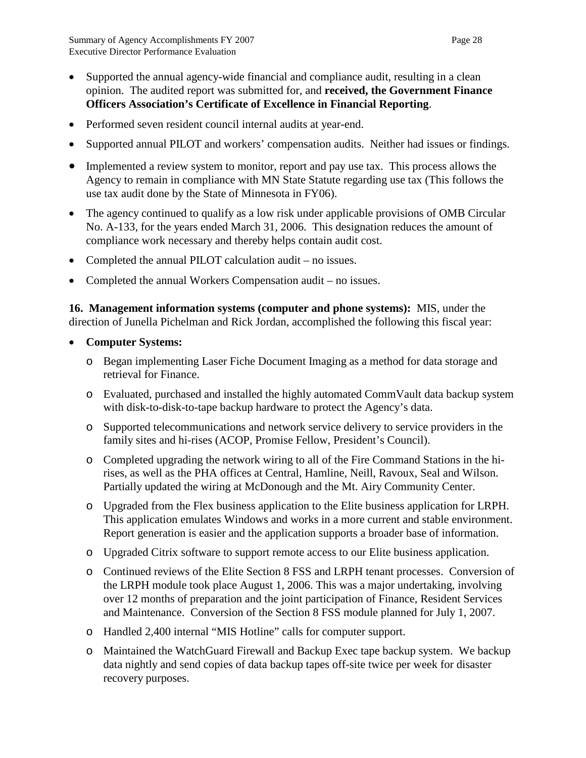- Supported the annual agency-wide financial and compliance audit, resulting in a clean opinion. The audited report was submitted for, and **received, the Government Finance Officers Association's Certificate of Excellence in Financial Reporting**.
- Performed seven resident council internal audits at year-end.
- Supported annual PILOT and workers' compensation audits. Neither had issues or findings.
- Implemented a review system to monitor, report and pay use tax. This process allows the Agency to remain in compliance with MN State Statute regarding use tax (This follows the use tax audit done by the State of Minnesota in FY06).
- The agency continued to qualify as a low risk under applicable provisions of OMB Circular No. A-133, for the years ended March 31, 2006. This designation reduces the amount of compliance work necessary and thereby helps contain audit cost.
- Completed the annual PILOT calculation audit no issues.
- Completed the annual Workers Compensation audit no issues.

**16. Management information systems (computer and phone systems):** MIS, under the direction of Junella Pichelman and Rick Jordan, accomplished the following this fiscal year:

- **Computer Systems:**
	- o Began implementing Laser Fiche Document Imaging as a method for data storage and retrieval for Finance.
	- o Evaluated, purchased and installed the highly automated CommVault data backup system with disk-to-disk-to-tape backup hardware to protect the Agency's data.
	- o Supported telecommunications and network service delivery to service providers in the family sites and hi-rises (ACOP, Promise Fellow, President's Council).
	- o Completed upgrading the network wiring to all of the Fire Command Stations in the hirises, as well as the PHA offices at Central, Hamline, Neill, Ravoux, Seal and Wilson. Partially updated the wiring at McDonough and the Mt. Airy Community Center.
	- o Upgraded from the Flex business application to the Elite business application for LRPH. This application emulates Windows and works in a more current and stable environment. Report generation is easier and the application supports a broader base of information.
	- o Upgraded Citrix software to support remote access to our Elite business application.
	- o Continued reviews of the Elite Section 8 FSS and LRPH tenant processes. Conversion of the LRPH module took place August 1, 2006. This was a major undertaking, involving over 12 months of preparation and the joint participation of Finance, Resident Services and Maintenance. Conversion of the Section 8 FSS module planned for July 1, 2007.
	- o Handled 2,400 internal "MIS Hotline" calls for computer support.
	- o Maintained the WatchGuard Firewall and Backup Exec tape backup system. We backup data nightly and send copies of data backup tapes off-site twice per week for disaster recovery purposes.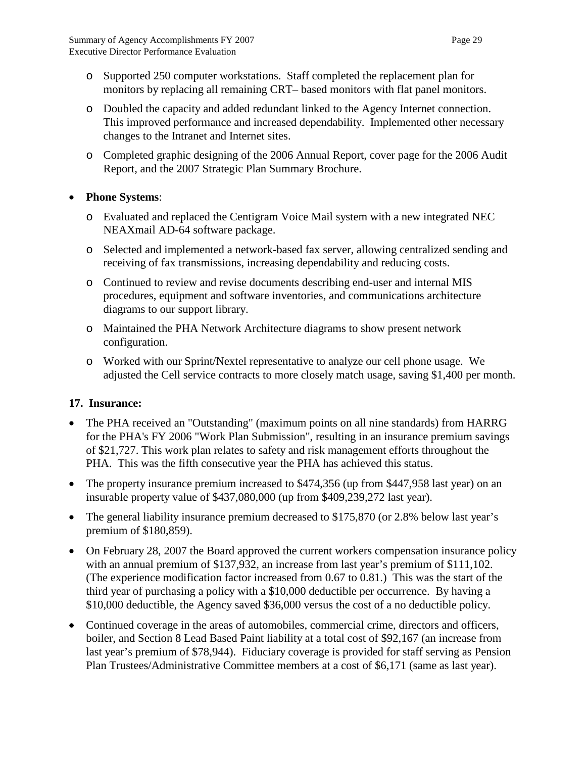- o Supported 250 computer workstations. Staff completed the replacement plan for monitors by replacing all remaining CRT– based monitors with flat panel monitors.
- o Doubled the capacity and added redundant linked to the Agency Internet connection. This improved performance and increased dependability. Implemented other necessary changes to the Intranet and Internet sites.
- o Completed graphic designing of the 2006 Annual Report, cover page for the 2006 Audit Report, and the 2007 Strategic Plan Summary Brochure.

## • **Phone Systems**:

- o Evaluated and replaced the Centigram Voice Mail system with a new integrated NEC NEAXmail AD-64 software package.
- o Selected and implemented a network-based fax server, allowing centralized sending and receiving of fax transmissions, increasing dependability and reducing costs.
- o Continued to review and revise documents describing end-user and internal MIS procedures, equipment and software inventories, and communications architecture diagrams to our support library.
- o Maintained the PHA Network Architecture diagrams to show present network configuration.
- o Worked with our Sprint/Nextel representative to analyze our cell phone usage. We adjusted the Cell service contracts to more closely match usage, saving \$1,400 per month.

# **17. Insurance:**

- The PHA received an "Outstanding" (maximum points on all nine standards) from HARRG for the PHA's FY 2006 "Work Plan Submission", resulting in an insurance premium savings of \$21,727. This work plan relates to safety and risk management efforts throughout the PHA. This was the fifth consecutive year the PHA has achieved this status.
- The property insurance premium increased to \$474,356 (up from \$447,958 last year) on an insurable property value of \$437,080,000 (up from \$409,239,272 last year).
- The general liability insurance premium decreased to \$175,870 (or 2.8% below last year's premium of \$180,859).
- On February 28, 2007 the Board approved the current workers compensation insurance policy with an annual premium of \$137,932, an increase from last year's premium of \$111,102. (The experience modification factor increased from 0.67 to 0.81.) This was the start of the third year of purchasing a policy with a \$10,000 deductible per occurrence. By having a \$10,000 deductible, the Agency saved \$36,000 versus the cost of a no deductible policy.
- Continued coverage in the areas of automobiles, commercial crime, directors and officers, boiler, and Section 8 Lead Based Paint liability at a total cost of \$92,167 (an increase from last year's premium of \$78,944). Fiduciary coverage is provided for staff serving as Pension Plan Trustees/Administrative Committee members at a cost of \$6,171 (same as last year).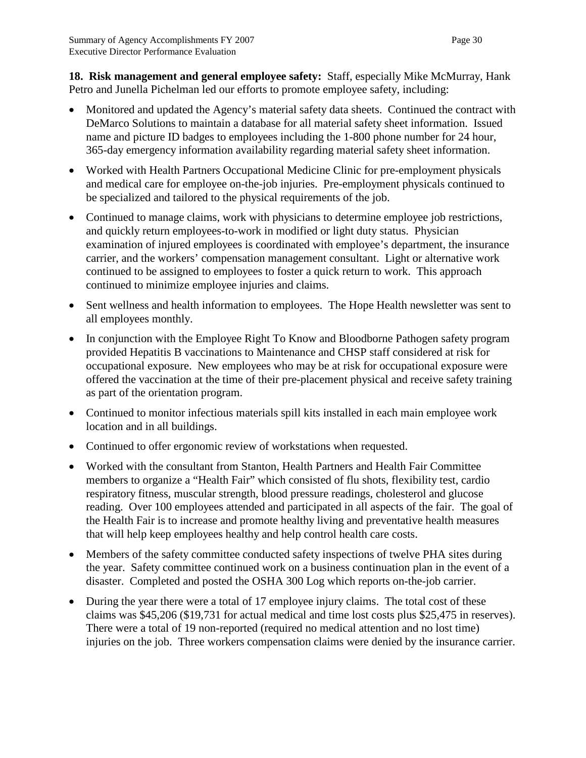**18. Risk management and general employee safety:** Staff, especially Mike McMurray, Hank Petro and Junella Pichelman led our efforts to promote employee safety, including:

- Monitored and updated the Agency's material safety data sheets. Continued the contract with DeMarco Solutions to maintain a database for all material safety sheet information. Issued name and picture ID badges to employees including the 1-800 phone number for 24 hour, 365-day emergency information availability regarding material safety sheet information.
- Worked with Health Partners Occupational Medicine Clinic for pre-employment physicals and medical care for employee on-the-job injuries. Pre-employment physicals continued to be specialized and tailored to the physical requirements of the job.
- Continued to manage claims, work with physicians to determine employee job restrictions, and quickly return employees-to-work in modified or light duty status. Physician examination of injured employees is coordinated with employee's department, the insurance carrier, and the workers' compensation management consultant. Light or alternative work continued to be assigned to employees to foster a quick return to work. This approach continued to minimize employee injuries and claims.
- Sent wellness and health information to employees. The Hope Health newsletter was sent to all employees monthly.
- In conjunction with the Employee Right To Know and Bloodborne Pathogen safety program provided Hepatitis B vaccinations to Maintenance and CHSP staff considered at risk for occupational exposure. New employees who may be at risk for occupational exposure were offered the vaccination at the time of their pre-placement physical and receive safety training as part of the orientation program.
- Continued to monitor infectious materials spill kits installed in each main employee work location and in all buildings.
- Continued to offer ergonomic review of workstations when requested.
- Worked with the consultant from Stanton, Health Partners and Health Fair Committee members to organize a "Health Fair" which consisted of flu shots, flexibility test, cardio respiratory fitness, muscular strength, blood pressure readings, cholesterol and glucose reading. Over 100 employees attended and participated in all aspects of the fair. The goal of the Health Fair is to increase and promote healthy living and preventative health measures that will help keep employees healthy and help control health care costs.
- Members of the safety committee conducted safety inspections of twelve PHA sites during the year. Safety committee continued work on a business continuation plan in the event of a disaster. Completed and posted the OSHA 300 Log which reports on-the-job carrier.
- During the year there were a total of 17 employee injury claims. The total cost of these claims was \$45,206 (\$19,731 for actual medical and time lost costs plus \$25,475 in reserves). There were a total of 19 non-reported (required no medical attention and no lost time) injuries on the job. Three workers compensation claims were denied by the insurance carrier.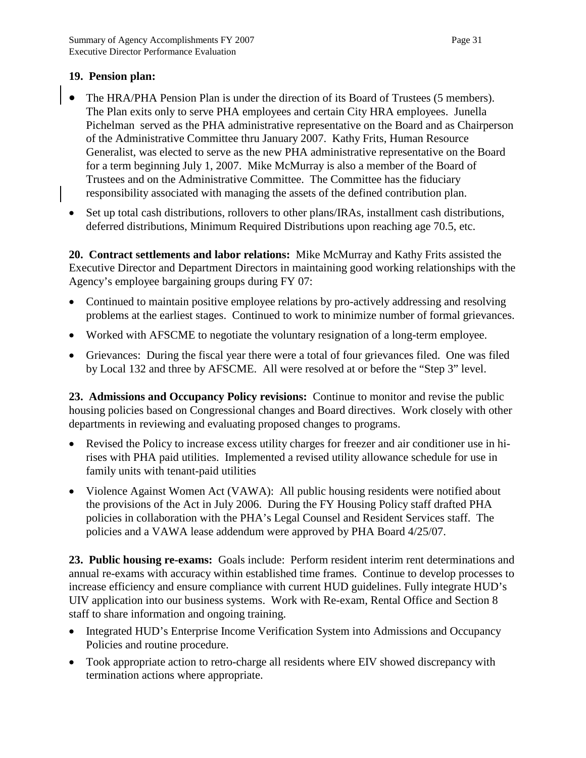#### **19. Pension plan:**

- The HRA/PHA Pension Plan is under the direction of its Board of Trustees (5 members). The Plan exits only to serve PHA employees and certain City HRA employees. Junella Pichelman served as the PHA administrative representative on the Board and as Chairperson of the Administrative Committee thru January 2007. Kathy Frits, Human Resource Generalist, was elected to serve as the new PHA administrative representative on the Board for a term beginning July 1, 2007. Mike McMurray is also a member of the Board of Trustees and on the Administrative Committee. The Committee has the fiduciary responsibility associated with managing the assets of the defined contribution plan.
- Set up total cash distributions, rollovers to other plans/IRAs, installment cash distributions, deferred distributions, Minimum Required Distributions upon reaching age 70.5, etc.

**20. Contract settlements and labor relations:** Mike McMurray and Kathy Frits assisted the Executive Director and Department Directors in maintaining good working relationships with the Agency's employee bargaining groups during FY 07:

- Continued to maintain positive employee relations by pro-actively addressing and resolving problems at the earliest stages. Continued to work to minimize number of formal grievances.
- Worked with AFSCME to negotiate the voluntary resignation of a long-term employee.
- Grievances: During the fiscal year there were a total of four grievances filed. One was filed by Local 132 and three by AFSCME. All were resolved at or before the "Step 3" level.

**23. Admissions and Occupancy Policy revisions:** Continue to monitor and revise the public housing policies based on Congressional changes and Board directives. Work closely with other departments in reviewing and evaluating proposed changes to programs.

- Revised the Policy to increase excess utility charges for freezer and air conditioner use in hirises with PHA paid utilities. Implemented a revised utility allowance schedule for use in family units with tenant-paid utilities
- Violence Against Women Act (VAWA): All public housing residents were notified about the provisions of the Act in July 2006. During the FY Housing Policy staff drafted PHA policies in collaboration with the PHA's Legal Counsel and Resident Services staff. The policies and a VAWA lease addendum were approved by PHA Board 4/25/07.

**23. Public housing re-exams:** Goals include: Perform resident interim rent determinations and annual re-exams with accuracy within established time frames. Continue to develop processes to increase efficiency and ensure compliance with current HUD guidelines. Fully integrate HUD's UIV application into our business systems. Work with Re-exam, Rental Office and Section 8 staff to share information and ongoing training.

- Integrated HUD's Enterprise Income Verification System into Admissions and Occupancy Policies and routine procedure.
- Took appropriate action to retro-charge all residents where EIV showed discrepancy with termination actions where appropriate.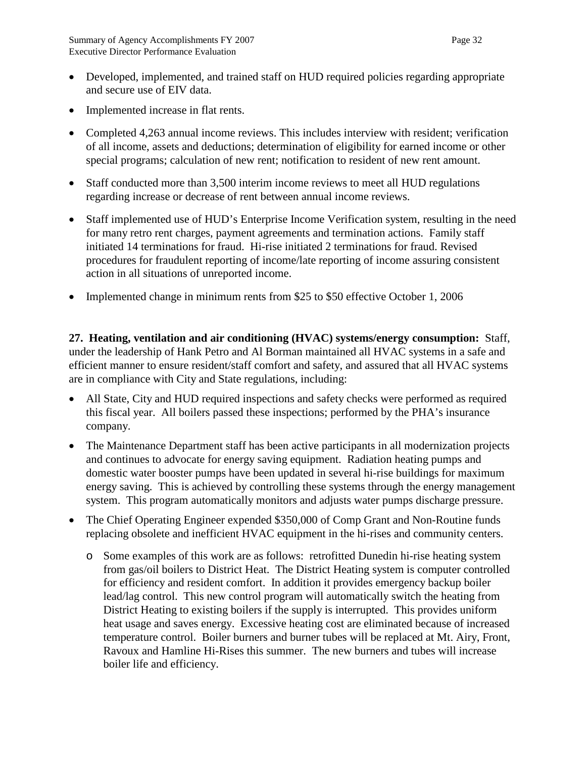- Developed, implemented, and trained staff on HUD required policies regarding appropriate and secure use of EIV data.
- Implemented increase in flat rents.
- Completed 4,263 annual income reviews. This includes interview with resident; verification of all income, assets and deductions; determination of eligibility for earned income or other special programs; calculation of new rent; notification to resident of new rent amount.
- Staff conducted more than 3,500 interim income reviews to meet all HUD regulations regarding increase or decrease of rent between annual income reviews.
- Staff implemented use of HUD's Enterprise Income Verification system, resulting in the need for many retro rent charges, payment agreements and termination actions. Family staff initiated 14 terminations for fraud. Hi-rise initiated 2 terminations for fraud. Revised procedures for fraudulent reporting of income/late reporting of income assuring consistent action in all situations of unreported income.
- Implemented change in minimum rents from \$25 to \$50 effective October 1, 2006

**27. Heating, ventilation and air conditioning (HVAC) systems/energy consumption:** Staff, under the leadership of Hank Petro and Al Borman maintained all HVAC systems in a safe and efficient manner to ensure resident/staff comfort and safety, and assured that all HVAC systems are in compliance with City and State regulations, including:

- All State, City and HUD required inspections and safety checks were performed as required this fiscal year. All boilers passed these inspections; performed by the PHA's insurance company.
- The Maintenance Department staff has been active participants in all modernization projects and continues to advocate for energy saving equipment. Radiation heating pumps and domestic water booster pumps have been updated in several hi-rise buildings for maximum energy saving. This is achieved by controlling these systems through the energy management system. This program automatically monitors and adjusts water pumps discharge pressure.
- The Chief Operating Engineer expended \$350,000 of Comp Grant and Non-Routine funds replacing obsolete and inefficient HVAC equipment in the hi-rises and community centers.
	- o Some examples of this work are as follows: retrofitted Dunedin hi-rise heating system from gas/oil boilers to District Heat. The District Heating system is computer controlled for efficiency and resident comfort. In addition it provides emergency backup boiler lead/lag control. This new control program will automatically switch the heating from District Heating to existing boilers if the supply is interrupted. This provides uniform heat usage and saves energy. Excessive heating cost are eliminated because of increased temperature control. Boiler burners and burner tubes will be replaced at Mt. Airy, Front, Ravoux and Hamline Hi-Rises this summer. The new burners and tubes will increase boiler life and efficiency.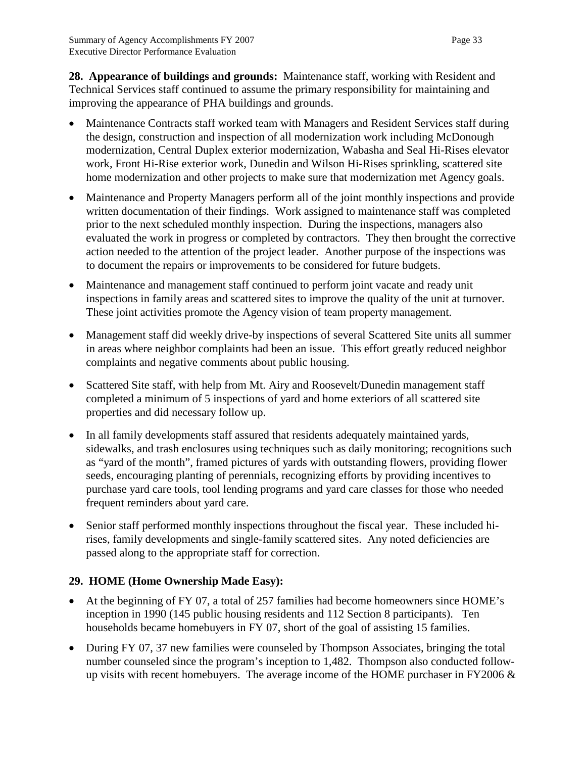**28. Appearance of buildings and grounds:** Maintenance staff, working with Resident and Technical Services staff continued to assume the primary responsibility for maintaining and improving the appearance of PHA buildings and grounds.

- Maintenance Contracts staff worked team with Managers and Resident Services staff during the design, construction and inspection of all modernization work including McDonough modernization, Central Duplex exterior modernization, Wabasha and Seal Hi-Rises elevator work, Front Hi-Rise exterior work, Dunedin and Wilson Hi-Rises sprinkling, scattered site home modernization and other projects to make sure that modernization met Agency goals.
- Maintenance and Property Managers perform all of the joint monthly inspections and provide written documentation of their findings. Work assigned to maintenance staff was completed prior to the next scheduled monthly inspection. During the inspections, managers also evaluated the work in progress or completed by contractors. They then brought the corrective action needed to the attention of the project leader. Another purpose of the inspections was to document the repairs or improvements to be considered for future budgets.
- Maintenance and management staff continued to perform joint vacate and ready unit inspections in family areas and scattered sites to improve the quality of the unit at turnover. These joint activities promote the Agency vision of team property management.
- Management staff did weekly drive-by inspections of several Scattered Site units all summer in areas where neighbor complaints had been an issue. This effort greatly reduced neighbor complaints and negative comments about public housing.
- Scattered Site staff, with help from Mt. Airy and Roosevelt/Dunedin management staff completed a minimum of 5 inspections of yard and home exteriors of all scattered site properties and did necessary follow up.
- In all family developments staff assured that residents adequately maintained yards, sidewalks, and trash enclosures using techniques such as daily monitoring; recognitions such as "yard of the month", framed pictures of yards with outstanding flowers, providing flower seeds, encouraging planting of perennials, recognizing efforts by providing incentives to purchase yard care tools, tool lending programs and yard care classes for those who needed frequent reminders about yard care.
- Senior staff performed monthly inspections throughout the fiscal year. These included hirises, family developments and single-family scattered sites. Any noted deficiencies are passed along to the appropriate staff for correction.

# **29. HOME (Home Ownership Made Easy):**

- At the beginning of FY 07, a total of 257 families had become homeowners since HOME's inception in 1990 (145 public housing residents and 112 Section 8 participants). Ten households became homebuyers in FY 07, short of the goal of assisting 15 families.
- During FY 07, 37 new families were counseled by Thompson Associates, bringing the total number counseled since the program's inception to 1,482. Thompson also conducted followup visits with recent homebuyers. The average income of the HOME purchaser in FY2006  $\&$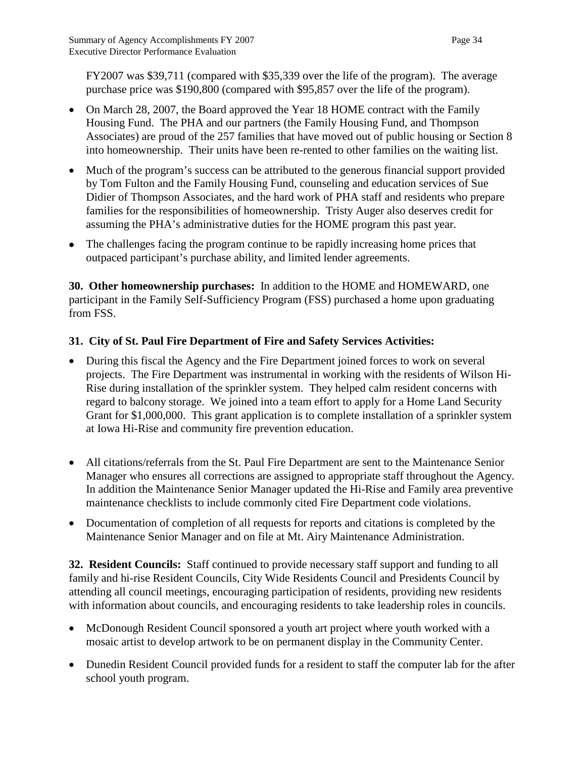FY2007 was \$39,711 (compared with \$35,339 over the life of the program). The average purchase price was \$190,800 (compared with \$95,857 over the life of the program).

- On March 28, 2007, the Board approved the Year 18 HOME contract with the Family Housing Fund. The PHA and our partners (the Family Housing Fund, and Thompson Associates) are proud of the 257 families that have moved out of public housing or Section 8 into homeownership. Their units have been re-rented to other families on the waiting list.
- Much of the program's success can be attributed to the generous financial support provided by Tom Fulton and the Family Housing Fund, counseling and education services of Sue Didier of Thompson Associates, and the hard work of PHA staff and residents who prepare families for the responsibilities of homeownership. Tristy Auger also deserves credit for assuming the PHA's administrative duties for the HOME program this past year.
- The challenges facing the program continue to be rapidly increasing home prices that outpaced participant's purchase ability, and limited lender agreements.

**30. Other homeownership purchases:** In addition to the HOME and HOMEWARD, one participant in the Family Self-Sufficiency Program (FSS) purchased a home upon graduating from FSS.

# **31. City of St. Paul Fire Department of Fire and Safety Services Activities:**

- During this fiscal the Agency and the Fire Department joined forces to work on several projects. The Fire Department was instrumental in working with the residents of Wilson Hi-Rise during installation of the sprinkler system. They helped calm resident concerns with regard to balcony storage. We joined into a team effort to apply for a Home Land Security Grant for \$1,000,000. This grant application is to complete installation of a sprinkler system at Iowa Hi-Rise and community fire prevention education.
- All citations/referrals from the St. Paul Fire Department are sent to the Maintenance Senior Manager who ensures all corrections are assigned to appropriate staff throughout the Agency. In addition the Maintenance Senior Manager updated the Hi-Rise and Family area preventive maintenance checklists to include commonly cited Fire Department code violations.
- Documentation of completion of all requests for reports and citations is completed by the Maintenance Senior Manager and on file at Mt. Airy Maintenance Administration.

**32. Resident Councils:** Staff continued to provide necessary staff support and funding to all family and hi-rise Resident Councils, City Wide Residents Council and Presidents Council by attending all council meetings, encouraging participation of residents, providing new residents with information about councils, and encouraging residents to take leadership roles in councils.

- McDonough Resident Council sponsored a youth art project where youth worked with a mosaic artist to develop artwork to be on permanent display in the Community Center.
- Dunedin Resident Council provided funds for a resident to staff the computer lab for the after school youth program.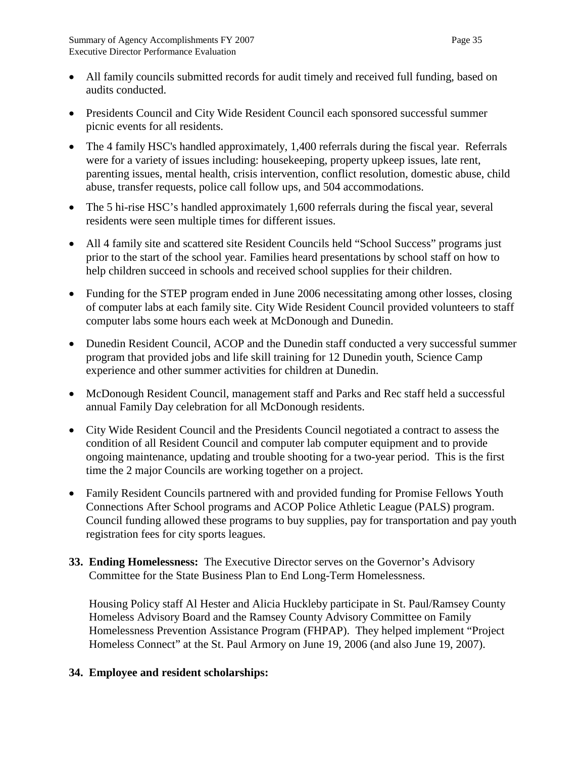- All family councils submitted records for audit timely and received full funding, based on audits conducted.
- Presidents Council and City Wide Resident Council each sponsored successful summer picnic events for all residents.
- The 4 family HSC's handled approximately, 1,400 referrals during the fiscal year. Referrals were for a variety of issues including: housekeeping, property upkeep issues, late rent, parenting issues, mental health, crisis intervention, conflict resolution, domestic abuse, child abuse, transfer requests, police call follow ups, and 504 accommodations.
- The 5 hi-rise HSC's handled approximately 1,600 referrals during the fiscal year, several residents were seen multiple times for different issues.
- All 4 family site and scattered site Resident Councils held "School Success" programs just prior to the start of the school year. Families heard presentations by school staff on how to help children succeed in schools and received school supplies for their children.
- Funding for the STEP program ended in June 2006 necessitating among other losses, closing of computer labs at each family site. City Wide Resident Council provided volunteers to staff computer labs some hours each week at McDonough and Dunedin.
- Dunedin Resident Council, ACOP and the Dunedin staff conducted a very successful summer program that provided jobs and life skill training for 12 Dunedin youth, Science Camp experience and other summer activities for children at Dunedin.
- McDonough Resident Council, management staff and Parks and Rec staff held a successful annual Family Day celebration for all McDonough residents.
- City Wide Resident Council and the Presidents Council negotiated a contract to assess the condition of all Resident Council and computer lab computer equipment and to provide ongoing maintenance, updating and trouble shooting for a two-year period. This is the first time the 2 major Councils are working together on a project.
- Family Resident Councils partnered with and provided funding for Promise Fellows Youth Connections After School programs and ACOP Police Athletic League (PALS) program. Council funding allowed these programs to buy supplies, pay for transportation and pay youth registration fees for city sports leagues.
- **33. Ending Homelessness:** The Executive Director serves on the Governor's Advisory Committee for the State Business Plan to End Long-Term Homelessness.

Housing Policy staff Al Hester and Alicia Huckleby participate in St. Paul/Ramsey County Homeless Advisory Board and the Ramsey County Advisory Committee on Family Homelessness Prevention Assistance Program (FHPAP). They helped implement "Project Homeless Connect" at the St. Paul Armory on June 19, 2006 (and also June 19, 2007).

# **34. Employee and resident scholarships:**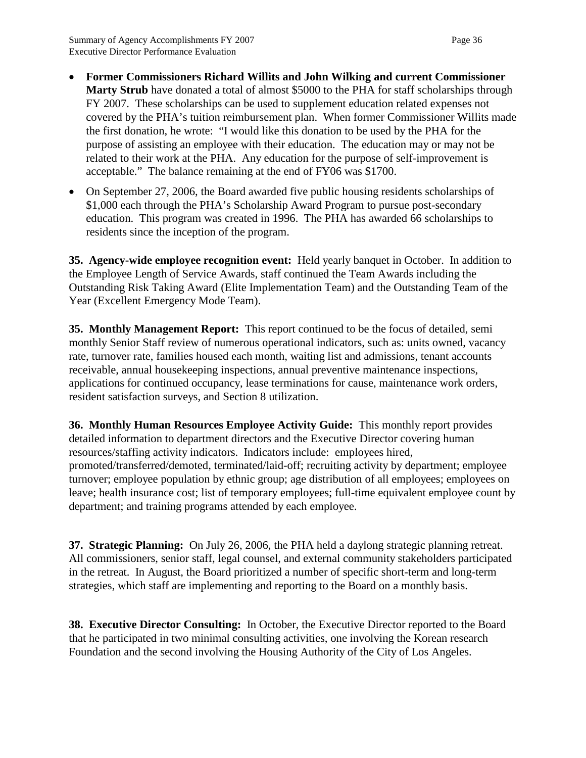- **Former Commissioners Richard Willits and John Wilking and current Commissioner Marty Strub** have donated a total of almost \$5000 to the PHA for staff scholarships through FY 2007. These scholarships can be used to supplement education related expenses not covered by the PHA's tuition reimbursement plan. When former Commissioner Willits made the first donation, he wrote: "I would like this donation to be used by the PHA for the purpose of assisting an employee with their education. The education may or may not be related to their work at the PHA. Any education for the purpose of self-improvement is acceptable." The balance remaining at the end of FY06 was \$1700.
- On September 27, 2006, the Board awarded five public housing residents scholarships of \$1,000 each through the PHA's Scholarship Award Program to pursue post-secondary education. This program was created in 1996. The PHA has awarded 66 scholarships to residents since the inception of the program.

**35. Agency-wide employee recognition event:** Held yearly banquet in October. In addition to the Employee Length of Service Awards, staff continued the Team Awards including the Outstanding Risk Taking Award (Elite Implementation Team) and the Outstanding Team of the Year (Excellent Emergency Mode Team).

**35. Monthly Management Report:** This report continued to be the focus of detailed, semi monthly Senior Staff review of numerous operational indicators, such as: units owned, vacancy rate, turnover rate, families housed each month, waiting list and admissions, tenant accounts receivable, annual housekeeping inspections, annual preventive maintenance inspections, applications for continued occupancy, lease terminations for cause, maintenance work orders, resident satisfaction surveys, and Section 8 utilization.

**36. Monthly Human Resources Employee Activity Guide:** This monthly report provides detailed information to department directors and the Executive Director covering human resources/staffing activity indicators. Indicators include: employees hired, promoted/transferred/demoted, terminated/laid-off; recruiting activity by department; employee turnover; employee population by ethnic group; age distribution of all employees; employees on leave; health insurance cost; list of temporary employees; full-time equivalent employee count by department; and training programs attended by each employee.

**37. Strategic Planning:** On July 26, 2006, the PHA held a daylong strategic planning retreat. All commissioners, senior staff, legal counsel, and external community stakeholders participated in the retreat. In August, the Board prioritized a number of specific short-term and long-term strategies, which staff are implementing and reporting to the Board on a monthly basis.

**38. Executive Director Consulting:** In October, the Executive Director reported to the Board that he participated in two minimal consulting activities, one involving the Korean research Foundation and the second involving the Housing Authority of the City of Los Angeles.